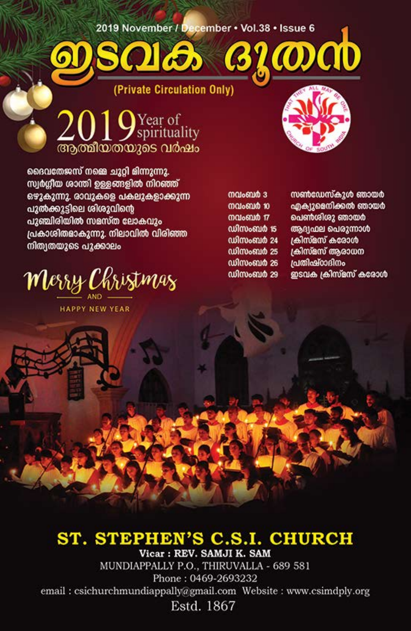2019 November / December · Vol.38 · Issue 6

 $\hat{\bm{\sigma}}$ 

(Private Circulation Only)

 $2019$ Year of ആത്മീയതയുടെ വർഷം

ദൈവതേജസ് നമ്മെ ചുറ്റി മിന്നുന്നു. സ്വർഗ്ഗീയ ശാന്തി ഉള്ളങ്ങളിൽ നിറഞ്ഞ് ഒഴുകുന്നു. രാവുകളെ പകലുകളാക്കുന്ന പുൽക്കൂട്ടിലെ ശിശുവിന്റെ പുഞ്ചിരിയിൽ സമസ്ത ലോകവും പ്രകാശിതമാകുന്നു. നിലാവിൽ വിരിഞ്ഞ നിത്വതയുടെ പൂക്കാലം

Merry Christmas

**HAPPY NEW YEAR** 

നവംബർ 3 നവംബർ 10 **malomin 17** ഡിസംബർ 15

**GLOOOD** 

ഡിസംബർ 24 ഡിസംബർ 25 ഡിസംബർ 26 ഡിസംബർ 29 സൺഡേസ്കുൾ ഞായർ ഹ്നക12മെനിക്കൽ ഞായർ പെൺശിശു ഞായർ അദ്ധമല പെരുന്നാൾ கிஸ்ீஸ் கலேம் ക്രിസ്മസ് ആരാധന പ്രതിഷ്ഠാദിനം ഇടവക ക്രിസ്മസ് കരോൾ

### ST. STEPHEN'S C.S.I. CHURCH Vicar: REV. SAMJI K. SAM

MUNDIAPPALLY P.O., THIRUVALLA - 689 581 Phone: 0469-2693232 email: csichurchmundiappally@gmail.com Website: www.csimdply.org Estd. 1867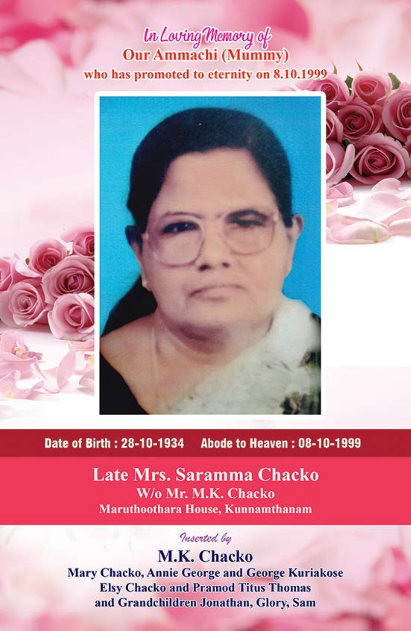# *In Loving Memory of*<br>Our Ammachi (Mummy) who has promoted to eternity on 8.10.1999





Late Mrs. Saramma Chacko W/o Mr. M.K. Chacko Maruthoothara House, Kunnamthanam

Inserted by

M.K. Chacko Mary Chacko, Annie George and George Kuriakose **Elsy Chacko and Pramod Titus Thomas** and Grandchildren Jonathan, Glory, Sam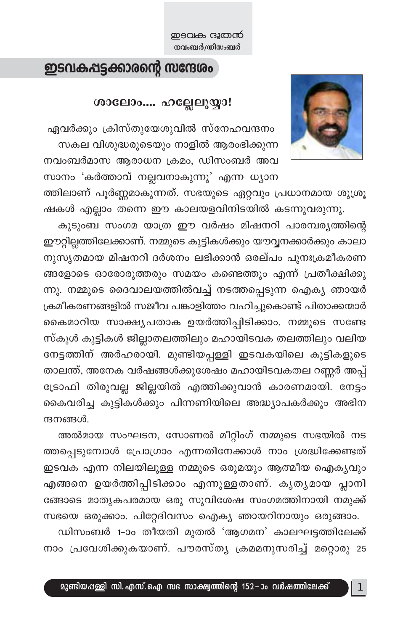### ഇടവകപ്പട്ടക്കാരന്റെ സന്ദേശം

### ശാലോം.... ഹല്ലേലുയ്യാ!

ഏവർക്കും ക്രിസ്തുയേശുവിൽ സ്നേഹവന്ദനം സകല വിശുദ്ധരുടെയും നാളിൽ ആരംഭിക്കുന്ന നവംബർമാസ ആരാധന ക്രമം, ഡിസംബർ അവ സാനം 'കർത്താവ് നല്ലവനാകുന്നു' എന്ന ധ്യാന

ത്തിലാണ് പൂർണ്ണമാകുന്നത്. സഭയുടെ ഏറ്റവും പ്രധാനമായ ശുശ്രൂ ഷകൾ എല്ലാം തന്നെ ഈ കാലയളവിനിടയിൽ കടന്നുവരുന്നു.

കുടുംബ സംഗമ യാത്ര ഈ വർഷം മിഷനറി പാരമ്പര്യത്തിന്റെ ഈറ്റില്ലത്തിലേക്കാണ്. നമ്മുടെ കുട്ടികൾക്കും യൗവ്വനക്കാർക്കും കാലാ നുസൃതമായ മിഷനറി ദർശനം ലഭിക്കാൻ ഒരല്പം പുനഃക്രമീകരണ ങ്ങളോടെ ഓരോരുത്തരും സമയം കണ്ടെത്തും എന്ന് പ്രതീക്ഷിക്കു ന്നു. നമ്മുടെ ദൈവാലയത്തിൽവച്ച് നടത്തപ്പെടുന്ന ഐക്യ ഞായർ ക്രമീകരണങ്ങളിൽ സജീവ പങ്കാളിത്തം വഹിച്ചുകൊണ്ട് പിതാക്കന്മാർ കൈമാറിയ സാക്ഷ്യപതാക ഉയർത്തിപ്പിടിക്കാം. നമ്മുടെ സണ്ടേ സ്കൂൾ കുട്ടികൾ ജില്ലാതലത്തിലും മഹായിടവക തലത്തിലും വലിയ നേട്ടത്തിന് അർഹരായി. മുണ്ടിയപ്പള്ളി ഇടവകയിലെ കുട്ടികളുടെ താലന്ത്, അനേക വർഷങ്ങൾക്കുശേഷം മഹായിടവകതല റണ്ണർ അപ്പ് ട്രോഫി തിരുവല്ല ജില്ലയിൽ എത്തിക്കുവാൻ കാരണമായി. നേട്ടം കൈവരിച്ച കുട്ടികൾക്കും പിന്നണിയിലെ അദ്ധ്യാപകർക്കും അഭിന ന്ദനങ്ങൾ.

അൽമായ സംഘടന, സോണൽ മീറ്റിംഗ് നമ്മുടെ സഭയിൽ നട ത്തപ്പെടുമ്പോൾ പ്രോഗ്രാം എന്നതിനേക്കാൾ നാം ശ്രദ്ധിക്കേണ്ടത് ഇടവക എന്ന നിലയിലുള്ള നമ്മുടെ ഒരുമയും ആത്മീയ ഐക്യവും എങ്ങനെ ഉയർത്തിപ്പിടിക്കാം എന്നുള്ളതാണ്. കൃതൃമായ പ്ലാനി ങ്ങോടെ മാതൃകപരമായ ഒരു സുവിശേഷ സംഗമത്തിനായി നമുക്ക് സഭയെ ഒരുക്കാം. പിറ്റേദിവസം ഐക്യ ഞായറിനായും ഒരുങ്ങാം.

ഡിസംബർ 1-ാം തീയതി മുതൽ 'ആഗമന' കാലഘട്ടത്തിലേക്ക് നാം പ്രവേശിക്കുകയാണ്. പൗരസ്ത്യ ക്രമമനുസരിച്ച് മറ്റൊരു 25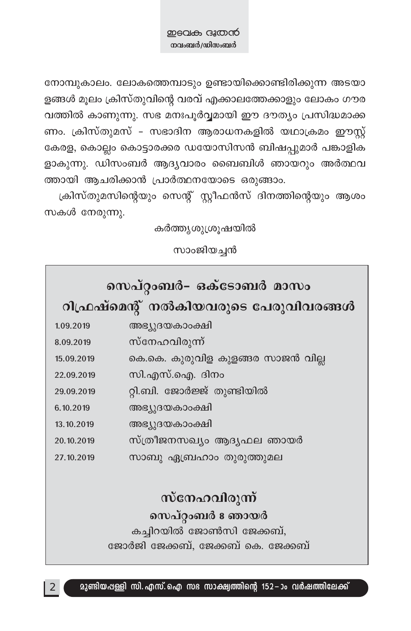നോമ്പുകാലം. ലോകത്തെമ്പാടും ഉണ്ടായിക്കൊണ്ടിരിക്കുന്ന അടയാ ളങ്ങൾ മൂലം ക്രിസ്തുവിന്റെ വരവ് എക്കാലത്തേക്കാളും ലോകം ഗൗര വത്തിൽ കാണുന്നു. സഭ മനഃപൂർവ്വമായി ഈ ദൗത്യം പ്രസിദ്ധമാക്ക ണം. ക്രിസ്തുമസ് - സഭാദിന ആരാധനകളിൽ യഥാക്രമം ഈസ്റ്റ് കേരള, കൊല്ലം കൊട്ടാരക്കര ഡയോസിസൻ ബിഷപ്പുമാർ പങ്കാളിക ളാകുന്നു. ഡിസംബർ ആദ്യവാരം ബൈബിൾ ഞായറും അർത്ഥവ ത്തായി ആചരിക്കാൻ പ്രാർത്ഥനയോടെ ഒരുങ്ങാം.

ക്രിസ്തുമസിന്റെയും സെന്റ് സ്റ്റീഫൻസ് ദിനത്തിന്റെയും ആശം സകൾ നേരുന്നു.

കർത്തൃശുശ്രുഷയിൽ

സാംജിയച്ചൻ

| സെപ്റ്റംബർ- ഒക്ടോബർ മാസം |                                       |  |  |  |
|--------------------------|---------------------------------------|--|--|--|
|                          | റിഫ്രഷ്മെന്റ് നൽകിയവരുടെ പേരുവിവരങ്ങൾ |  |  |  |
| 1.09.2019                | അഭ്യുദയകാംക്ഷി                        |  |  |  |
| 8.09.2019                | സ്നേഹവിരുന്ന്                         |  |  |  |
| 15.09.2019               | കെ.കെ. കുരുവിള കുളങ്ങര സാജൻ വില്ല     |  |  |  |
| 22.09.2019               | സി.എസ്.ഐ. ദിനം                        |  |  |  |
| 29.09.2019               | റ്റി.ബി. ജോർജ്ജ് തുണ്ടിയിൽ            |  |  |  |
| 6.10.2019                | അഭ്യുദയകാംക്ഷി                        |  |  |  |
| 13.10.2019               | അഭ്യുദയകാംക്ഷി                        |  |  |  |
| 20.10.2019               | സ്ത്രീജനസഖ്യം ആദ്യഫല ഞായർ             |  |  |  |
| 27.10.2019               | സാബു ഏബ്രഹാം തുരുത്തുമല               |  |  |  |
|                          |                                       |  |  |  |
| സ്നേഹവിരുന്ന്            |                                       |  |  |  |
| സെപ്റ്റംബർ 8 ഞായർ        |                                       |  |  |  |

കച്ചിറയിൽ ജോൺസി ജേക്കബ്, ജോർജി ജേക്കബ്, ജേക്കബ് കെ. ജേക്കബ്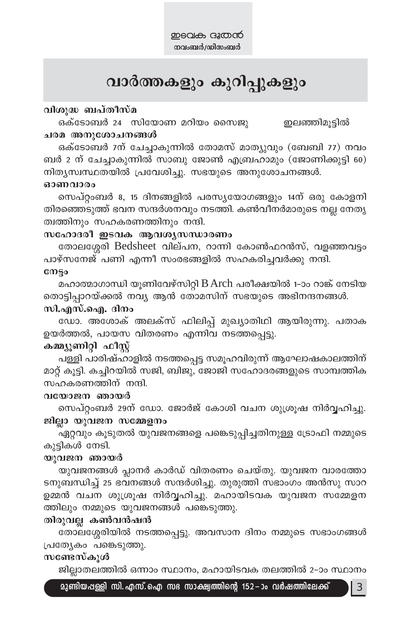### വാർത്തകളും കുറിപ്പുകളും

### വിശുദ്ധ ബപ്തീസ്മ

ഒക്ടോബർ 24 സിയോണ മറിയം സൈജു ഇലഞ്ഞിമുട്ടിൽ ചരമ അനുശോചനങ്ങൾ

ഒക്ടോബർ 7ന് ചേച്ചാകുന്നിൽ തോമസ് മാത്യുവും (ബേബി 77) നവം ബർ 2 ന് ചേച്ചാകുന്നിൽ സാബു ജോൺ എബ്രഹാമും (ജോണിക്കുട്ടി 60) നിതൃസ്വസ്ഥതയിൽ പ്രവേശിച്ചു. സഭയുടെ അനുശോചനങ്ങൾ.

#### ഓണവാരം

സെപ്റ്റംബർ 8, 15 ദിനങ്ങളിൽ പരസ്യയോഗങ്ങളും 14ന് ഒരു കോളനി തിരഞ്ഞെടുത്ത് ഭവന സന്ദർശനവും നടത്തി. കൺവീനർമാരുടെ നല്ല നേതൃ ത്വത്തിനും സഹകരണത്തിനും നന്ദി.

### സഹോദരീ ഇടവക ആവശ്യസന്ധാരണം

തോലശ്ശേരി Bedsheet വില്പന, റാന്നി കോൺഫറൻസ്, വളഞ്ഞവട്ടം പാഴ്സനേജ് പണി എന്നീ സംരഭങ്ങളിൽ സഹകരിച്ചവർക്കു നന്ദി.

### cmso

മഹാത്മാഗാന്ധി യൂണിവേഴ്സിറ്റി B Arch പരീക്ഷയിൽ 1-ാം റാങ്ക് നേടിയ തൊട്ടിപ്പാറയ്ക്കൽ നവ്യ ആൻ തോമസിന് സഭയുടെ അഭിനന്ദനങ്ങൾ. സി.എസ്.ഐ. ദിനം

ഡോ. അശോക് അലക്സ് ഫിലിപ്പ് മുഖ്യാതിഥി ആയിരുന്നു. പതാക ഉയർത്തൽ, പായസ വിതരണം എന്നിവ നടത്തപ്പെട്ടു.

### കമ്മ്യൂണിറ്റി ഫീസ്റ്റ്

പള്ളി പാരിഷ്ഹാളിൽ നടത്തപ്പെട്ട സമൂഹവിരുന്ന് ആഘോഷകാലത്തിന് മാറ്റ് കൂട്ടി. കച്ചിറയിൽ സജി, ബിജു, ജോജി സഹോദരങ്ങളുടെ സാമ്പത്തിക സഹകരണത്തിന് നന്ദി.

#### വയോജന ഞായർ

സെപ്റ്റംബർ 29ന് ഡോ. ജോർജ് കോശി വചന ശുശ്രൂഷ നിർവ്വഹിച്ചു. ജില്ലാ യുവജന സമ്മേളനം

ഏറ്റവും കൂടുതൽ യുവജനങ്ങളെ പങ്കെടുപ്പിച്ചതിനുള്ള ട്രോഫി നമ്മുടെ കൂട്ടികൾ നേടി.

### യുവജന ഞായർ

യുവജനങ്ങൾ പ്ലാനർ കാർഡ് വിതരണം ചെയ്തു. യുവജന വാരത്തോ ടനുബന്ധിച്ച് 25 ഭവനങ്ങൾ സന്ദർശിച്ചു. തുരുത്തി സഭാംഗം അൻസു സാറ ഉമ്മൻ വചന ശുശ്രൂഷ നിർവ്വഹിച്ചു. മഹായിടവക യുവജന സമ്മേളന ത്തിലും നമ്മുടെ യുവജനങ്ങൾ പങ്കെടുത്തു.

### തിരുവല്ല കൺവൻഷൻ

തോലശ്ശേരിയിൽ നടത്തപ്പെട്ടു. അവസാന ദിനം നമ്മുടെ സഭാംഗങ്ങൾ പ്രത്യേകം പങ്കെടുത്തു.

### സണ്ടേസ്കൂൾ

ജില്ലാതലത്തിൽ ഒന്നാം സ്ഥാനം, മഹായിടവക തലത്തിൽ 2–ാം സ്ഥാനം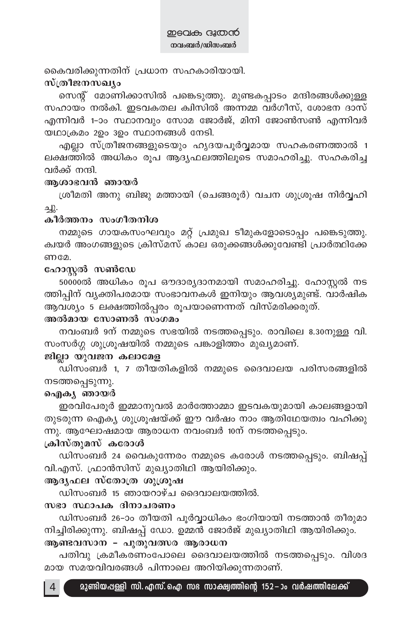കൈവരിക്കുന്നതിന് പ്രധാന സഹകാരിയായി.

### സ്ത്രീജനസഖ്യം

സെന്റ് മോണിക്കാസിൽ പങ്കെടുത്തു. മുണ്ടകപ്പാടം മന്ദിരങ്ങൾക്കുള്ള സഹായം നൽകി. ഇടവകതല ക്വിസിൽ അന്നമ്മ വർഗീസ്, ശോഭന ദാസ് എന്നിവർ 1-ാം സ്ഥാനവും സോമ ജോർജ്, മിനി ജോൺസൺ എന്നിവർ യഥാക്രമം 2ഉം 3ഉം സ്ഥാനങ്ങൾ നേടി.

എല്ലാ സ്ത്രീജനങ്ങളുടെയും ഹൃദയപൂർവ്വമായ സഹകരണത്താൽ 1 ലക്ഷത്തിൽ അധികം രൂപ ആദ്യഫലത്തിലൂടെ സമാഹരിച്ചു. സഹകരിച്ച വർക്ക് നന്ദി.

### ആശാഭവൻ ഞായർ

ശ്രീമതി അനു ബിജു മത്തായി (ചെങ്ങരൂർ) വചന ശുശ്രൂഷ നിർവ്വഹി  $\Delta$ .

### കീർത്തനം സംഗീതനിശ

നമ്മുടെ ഗായകസംഘവും മറ്റ് പ്രമുഖ ടീമുകളോടൊപ്പം പങ്കെടുത്തു. ക്വയർ അംഗങ്ങളുടെ ക്രിസ്മസ് കാല ഒരുക്കങ്ങൾക്കുവേണ്ടി പ്രാർത്ഥിക്കേ ണമേ.

### ഹോസ്റ്റൽ സൺഡേ

50000ൽ അധികം രൂപ ഔദാര്യദാനമായി സമാഹരിച്ചു. ഹോസ്റ്റൽ നട ത്തിപ്പിന് വ്യക്തിപരമായ സംഭാവനകൾ ഇനിയും ആവശ്യമുണ്ട്. വാർഷിക ആവശ്യം 5 ലക്ഷത്തിൽപ്പരം രൂപയാണെന്നത് വിസ്മരിക്കരുത്.

### അൽമായ സോണൽ സംഗമം

നവംബർ 9ന് നമ്മുടെ സഭയിൽ നടത്തപ്പെടും. രാവിലെ 8.30നുള്ള വി. സംസർഗ്ഗ ശുശ്രൂഷയിൽ നമ്മുടെ പങ്കാളിത്തം മുഖ്യമാണ്.

### ജില്ലാ യുവജന കലാമേള

ഡിസംബർ 1, 7 തീയതികളിൽ നമ്മുടെ ദൈവാലയ പരിസരങ്ങളിൽ നടത്തപ്പെടുന്നു.

### ഐകൃ ഞായർ

ഇരവിപേരൂർ ഇമ്മാനുവൽ മാർത്തോമ്മാ ഇടവകയുമായി കാലങ്ങളായി തുടരുന്ന ഐക്യ ശുശ്രൂഷയ്ക്ക് ഈ വർഷം നാം ആതിഥേയത്വം വഹിക്കു ന്നു. ആഘോഷമായ ആരാധന നവംബർ 10ന് നടത്തപ്പെടും.

### ക്രിസ്തുമസ് കരോൾ

ഡിസംബർ 24 വൈകുന്നേരം നമ്മുടെ കരോൾ നടത്തപ്പെടും. ബിഷപ്പ് വി.എസ്. ഫ്രാൻസിസ് മുഖ്യാതിഥി ആയിരിക്കും.

### ആദൃഫല സ്തോത്ര ശുശ്രൂഷ

ഡിസംബർ 15 ഞായറാഴ്ച ദൈവാലയത്തിൽ.

### സഭാ സ്ഥാപക ദിനാചരണം

ഡിസംബർ 26-ാം തീയതി പൂർവ്വാധികം ഭംഗിയായി നടത്താൻ തീരുമാ നിച്ചിരിക്കുന്നു. ബിഷപ്പ് ഡോ. ഉമ്മൻ ജോർജ് മുഖ്യാതിഥി ആയിരിക്കും. ആണ്ടവസാന - പുതുവത്സര ആരാധന

പതിവു ക്രമീകരണംപോലെ ദൈവാലയത്തിൽ നടത്തപ്പെടും. വിശദ മായ സമയവിവരങ്ങൾ പിന്നാലെ അറിയിക്കുന്നതാണ്.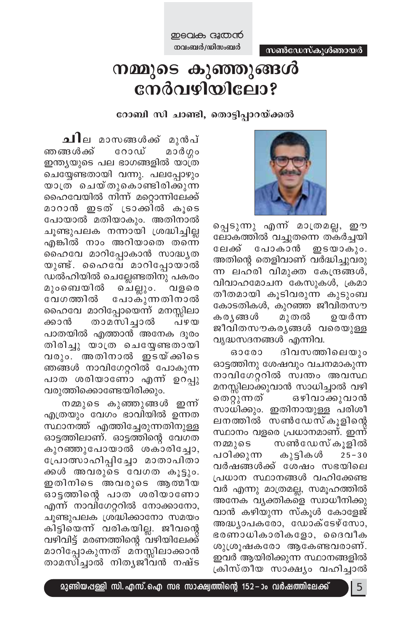സൺഡേസ്കൂൾഞായർ

ഇടവക ദൂതൻ നവംബർ/ഡിസംബർ

### നമ്മുടെ കുഞ്ഞുങ്ങൾ നേർവഴിയിലോ?

റോബി സി ചാണ്ടി, തൊട്ടിപ്പാറയ്ക്കൽ



പ്പെടുന്നു എന്ന് മാത്രമല്ല, ഈ ലോകത്തിൽ വച്ചുതന്നെ തകർച്ചയി ലേക്ക് ഇടയാകും. പോകാൻ അതിന്റെ തെളിവാണ് വർദ്ധിച്ചുവരു ന്ന ലഹരി വിമുക്ത കേന്ദ്രങ്ങൾ, വിവാഹമോചന കേസുകൾ, ക്രമാ തീതമായി കൂടിവരുന്ന കുടുംബ കോടതികൾ, കുറഞ്ഞ ജീവിതസൗ കര്യങ്ങൾ മുതൽ ഉയർന്ന ജീവിതസൗകരൃങ്ങൾ വരെയുള്ള വൃദ്ധസദനങ്ങൾ എന്നിവ.

ദിവസത്തിലെയും 630600 ഓട്ടത്തിനു ശേഷവും വചനമാകുന്ന നാവിഗേറ്ററിൽ സ്വന്തം അവസ്ഥ മനസ്സിലാക്കുവാൻ സാധിച്ചാൽ വഴി തെറ്റുന്നത് ഒഴിവാക്കുവാൻ സാധിക്കും. ഇതിനായുള്ള പരിശീ ലനത്തിൽ സൺഡേസ്കൂളിന്റെ സ്ഥാനം വളരെ പ്രധാനമാണ്. ഇന്ന് സൺഡേസ്കുളിൽ നമ്മുടെ പഠിക്കുന്ന കുട്ടികൾ  $25 - 30$ വർഷങ്ങൾക്ക് ശേഷം സഭയിലെ പ്രധാന സ്ഥാനങ്ങൾ വഹിക്കേണ്ട വർ എന്നു മാത്രമല്ല, സമൂഹത്തിൽ അനേക വ്യക്തികളെ സ്വാധീനിക്കു വാൻ കഴിയുന്ന സ്കൂൾ കോളേജ് അദ്ധ്യാപകരോ, ഡോക്ടേഴ്സോ, ഭരണാധികാരികളോ, ദൈവീക ശുശ്രൂഷകരോ ആകേണ്ടവരാണ്. ഇവർ ആയിരിക്കുന്ന സ്ഥാനങ്ങളിൽ ക്രിസ്തീയ സാക്ഷ്യം വഹിച്ചാൽ

ചില മാസങ്ങൾക്ക് മുൻപ് ഞങ്ങൾക്ക് റോഡ് മാർഗ്ഗം ഇന്ത്യയുടെ പല ഭാഗങ്ങളിൽ യാത്ര ചെയ്യേണ്ടതായി വന്നു. പലപ്പോഴും യാത്ര ചെയ്തുകൊണ്ടിരിക്കുന്ന ഹൈവേയിൽ നിന്ന് മറ്റൊന്നിലേക്ക് മാറാൻ ഇടത് ട്രാക്കിൽ കൂടെ പോയാൽ മതിയാകും. അതിനാൽ ചൂണ്ടുപലക നന്നായി ശ്രദ്ധിച്ചില്ല എങ്കിൽ നാം അറിയാതെ തന്നെ ഹൈവേ മാറിപ്പോകാൻ സാദ്ധൃത യുണ്ട്. ഹൈവേ മാറിപ്പോയാൽ ഡൽഹിയിൽ ചെല്ലേണ്ടതിനു പകരം മുംബെയിൽ ചെല്ലും. വളരെ വേഗത്തിൽ പോകുന്നതിനാൽ ഹൈവേ മാറിപ്പോയെന്ന് മനസ്സിലാ താമസിച്ചാൽ ക്കാൻ പഴയ പാതയിൽ എത്താൻ അനേക ദൂരം തിരിച്ചു യാത്ര ചെയ്യേണ്ടതായി വരും. അതിനാൽ ഇടയ്ക്കിടെ ഞങ്ങൾ നാവിഗേറ്ററിൽ പോകുന്ന പാത ശരിയാണോ എന്ന് ഉറപ്പു വരുത്തിക്കൊണ്ടേയിരിക്കും.

നമ്മുടെ കുഞ്ഞുങ്ങൾ ഇന്ന് എത്രയും വേഗം ഭാവിയിൽ ഉന്നത സ്ഥാനത്ത് എത്തിച്ചേരുന്നതിനുള്ള ഓട്ടത്തിലാണ്. ഓട്ടത്തിന്റെ വേഗത കുറഞ്ഞുപോയാൽ ശകാരിച്ചോ, പ്രോത്സാഹിപ്പിച്ചോ മാതാപിതാ ക്കൾ അവരുടെ വേഗത കൂട്ടും. ഇതിനിടെ അവരുടെ ആത്മീയ ഓട്ടത്തിന്റെ പാത ശരിയാണോ എന്ന് നാവിഗേറ്ററിൽ നോക്കാനോ, ചൂണ്ടുപലക ശ്രദ്ധിക്കാനോ സമയം കിട്ടിയെന്ന് വരികയില്ല. ജീവന്റെ വഴിവിട്ട് മരണത്തിന്റെ വഴിയിലേക്ക് മാറിപ്പോകുന്നത് മനസ്സിലാക്കാൻ താമസിച്ചാൽ നിതൃജീവൻ നഷ്ട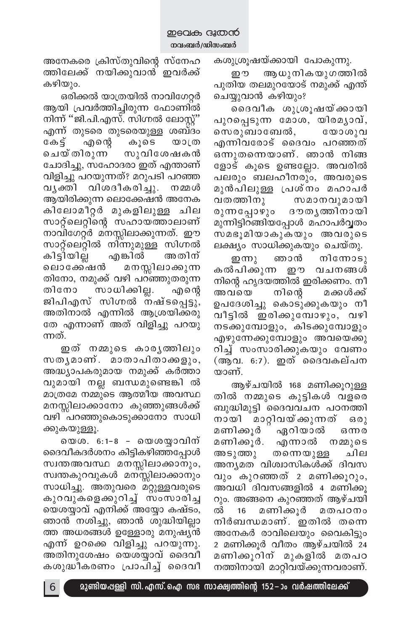കശുശ്രൂഷയ്ക്കായി പോകുന്നു.

றூ ആധുനികയുഗത്തിൽ പുതിയ തലമുറയോട് നമുക്ക് എന്ത് ചെയ്യുവാൻ കഴിയും?

ദൈവീക ശുശ്രൂഷയ്ക്കായി പുറപ്പെടുന്ന മോശ, യിരമൃാവ്, സെരുബാബേൽ, യോശുവ എന്നിവരോട് ദൈവം പറഞ്ഞത് ഒന്നുതന്നെയാണ്. ഞാൻ നിങ്ങ ളോട് കൂടെ ഉണ്ടല്ലോ. അവരിൽ പലരും ബലഹീനരും, അവരുടെ മുൻപിലുള്ള പ്രശ്നം മഹാപർ വതത്തിനു സമാനവുമായി രുന്നപ്പോഴും ദൗതൃത്തിനായി മുന്നിട്ടിറങ്ങിയപ്പോൾ മഹാപർവ്വതം സമഭൂമിയാകുകയും അവരുടെ ലക്ഷ്യം സാധിക്കുകയും ചെയ്തു.

ഇന്നു ഞാൻ നിനോടു കൽപിക്കുന്ന ഈ വചനങ്ങൾ നിന്റെ ഹൃദയത്തിൽ ഇരിക്കണം. നീ അവയെ നിന്റെ മക്കൾക്ക് ഉപദേശിച്ചു കൊടുക്കുകയും നീ വീട്ടിൽ ഇരിക്കുമ്പോഴും, വഴി നടക്കുമ്പോളും, കിടക്കുമ്പോളും എഴുന്നേക്കുമ്പോളും അവയെക്കു റിച്ച് സംസാരിക്കുകയും വേണം (ആവ. 6:7). ഇത് ദൈവകല്പന യാണ്.

ആഴ്ചയിൽ 168 മണിക്കുറുള്ള തിൽ നമ്മുടെ കുട്ടികൾ വളരെ ബുദ്ധിമുട്ടി ദൈവവചന പഠനത്തി നായി മാറ്റിവയ്ക്കുന്നത്  $630)$ ഏറിയാൽ മണിക്കൂർ ഒന്നര മണിക്കൂർ. എന്നാൽ നമ്മുടെ അടുത്തു ചില തന്നെയുള്ള അന്യമത വിശ്വാസികൾക്ക് ദിവസ വും കുറഞ്ഞത് 2 മണിക്കൂറും, അവധി ദിവസങ്ങളിൽ 4 മണിക്കു റും. അങ്ങനെ കുറഞ്ഞത് ആഴ്ചയി മണിക്കൂർ മതപഠനം ൽ 16 നിർബന്ധമാണ്. ഇതിൽ തന്നെ അനേകർ രാവിലെയും വൈകിട്ടും 2 മണിക്കുർ വീതം ആഴ്ചയിൽ 24 മണിക്കൂറിന് മുകളിൽ മതപഠ നത്തിനായി മാറ്റിവയ്ക്കുന്നവരാണ്.

അനേകരെ ക്രിസ്തുവിന്റെ സ്നേഹ ത്തിലേക്ക് നയിക്കുവാൻ് ഇവർക്ക് കഴിയും.

ഒരിക്കൽ യാത്രയിൽ നാവിഗേറ്റർ ആയി പ്രവർത്തിച്ചിരുന്ന ഫോണിൽ നിന്ന് ''ജി.പി.എസ്. സിഗ്നൽ ലോസ്റ്റ്' എന്ന് തുടരെ തുടരെയുള്ള ശബ്ദം കേട്ട് എന്റെ കൂടെ യാത്ര ചെയ്തിരുന്ന സുവിശേഷകൻ ചോദിച്ചു, സഹോദരാ ഇത് എന്താണ് വിളിച്ചു പറയുന്നത്? മറുപടി പറഞ്ഞ വൃക്തി വിശദീകരിച്ചു. നമ്മൾ ആയിരിക്കുന്ന ലൊക്കേഷൻ അനേക കിലോമീറ്റർ മുകളിലുള്ള ചില സാറ്റ്ലെറ്റിന്റെ സഹായത്താലാണ് നാവിഗേറ്റർ മനസ്സിലാക്കുന്നത്. ഈ സാറ്റ്ലെറ്റിൽ നിന്നുമുള്ള സിഗ്നൽ കിട്ടിയില്ല എങ്കിൽ അതിന് മനസ്സിലാക്കുന്ന ലൊക്കേഷൻ തിനോ, നമുക്ക് വഴി പറഞ്ഞുതരുന്ന തിനോ സാധിക്കില്ല. എന്റെ ജിപിഎസ് സിഗ്നൽ നഷ്ടപ്പെട്ടു, അതിനാൽ എന്നിൽ ആശ്രയിക്കരു തേ എന്നാണ് അത് വിളിച്ചു പറയു ന്നത്.

ഇത് നമ്മുടെ കാരൃത്തിലും സതൃമാണ്. മാതാപിതാക്കളും, അദ്ധ്യാപകരുമായ നമുക്ക് കർത്താ വുമായി നല്ല ബന്ധമുണ്ടെങ്കി ൽ മാത്രമേ നമ്മുടെ ആത്മീയ അവസ്ഥ മനസ്സിലാക്കാനോ കുഞ്ഞുങ്ങൾക്ക് വഴി പറഞ്ഞുകൊടുക്കാനോ സാധി ക്കുകയുള്ളൂ.

യെശ. 6:1-8 - യെശയ്യാവിന് ദൈവീകദർശനം കിട്ടികഴിഞ്ഞപ്പോൾ സ്വന്തഅവസ്ഥ മനസ്സിലാക്കാനും, സ്വന്തകുറവുകൾ മനസ്സിലാക്കാനും സാധിച്ചു. അതുവരെ മറ്റുള്ളവരുടെ കുറവുകളെക്കുറിച്ച് സംസാരിച്ച യെശയ്യാവ് എനിക്ക് അയ്യോ കഷ്ടം, ഞാൻ നശിച്ചു, ഞാൻ ശുദ്ധിയില്ലാ ത്ത അധരങ്ങൾ ഉള്ളോരു മനുഷ്യൻ എന്ന് ഉറക്കെ വിളിച്ചു പറയുന്നു. അതിനുശേഷം യെശയ്യാവ് ദൈവീ കശുദ്ധീകരണം പ്രാപിച്ച് ദൈവീ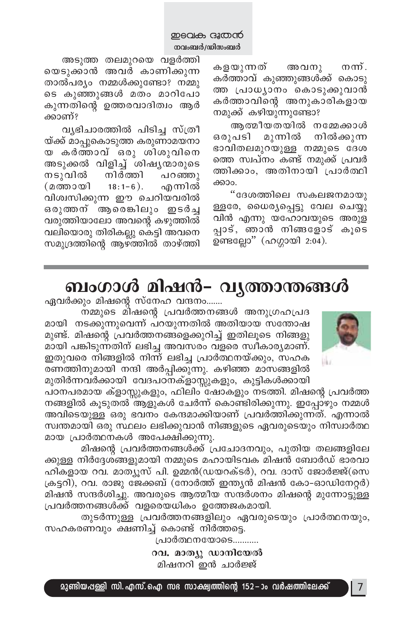കളയുന്നത് അവനു നന്. കർത്താവ് കുഞ്ഞുങ്ങൾക്ക് കൊടു ത്ത പ്രാധ്യാനം കൊടുക്കുവാൻ കർത്താവിന്റെ അനുകാരികളായ നമുക്ക് കഴിയുന്നുണ്ടോ?

അത്മീയതയിൽ നമ്മേക്കാൾ ഒരുപടി മുന്നിൽ നിൽക്കുന്ന ഭാവിതലമുറയുള്ള നമ്മുടെ ദേശ ത്തെ സ്വപ്നം കണ്ട് നമുക്ക് പ്രവർ ത്തിക്കാം, അതിനായി പ്രാർത്ഥി ക്കാം.

"ദേശത്തിലെ സകലജനമായു ള്ളരേ, ധൈര്യപ്പെട്ടു വേല ചെയ്യു വിൻ എന്നു യഹോവയുടെ അരുള പ്പാട്, ഞാൻ നിങ്ങളോട് കൂടെ ഉണ്ടല്ലോ" (ഹഗ്ഗായി 2:04).

അടുത്ത തലമുറയെ വളർത്തി യെടുക്കാൻ അവർ കാണിക്കുന്ന താൽപര്യം നമ്മൾക്കുണ്ടോ? നമ്മു ടെ കുഞ്ഞുങ്ങൾ മതം മാറിപോ കുന്നതിന്റെ ഉത്തരവാദിത്വം ആർ ക്കാണ്?

വൃഭിചാരത്തിൽ പിടിച്ച സ്ത്രീ യ്ക്ക് മാപ്പുകൊടുത്ത കരുണാമയനാ യ കർത്താവ് ഒരു ശിശുവിനെ അടുക്കൽ വിളിച്ച് ശിഷ്യന്മാരുടെ നടുവിൽ നിർത്തി പറഞ്ഞു  $18:1-6$ ). (മത്തായി എന്നിൽ വിശ്വസിക്കുന്ന ഈ ചെറിയവരിൽ ഒരുത്തന് ആരെങ്കിലും ഇടർച്ച വരുത്തിയാലോ അവന്റെ കഴുത്തിൽ വലിയൊരു തിരികല്ലു കെട്ടി അവനെ സമുദ്രത്തിന്റെ ആഴ്ത്തിൽ താഴ്ത്തി

### ബംഗാൾ മിഷൻ– വൃത്താന്തങ്ങൾ



ഏവർക്കും മിഷന്റെ സ്നേഹ വന്ദനം.......

നമ്മുടെ മിഷന്റെ പ്രവർത്തനങ്ങൾ അനുഗ്രഹപ്രദ മായി നടക്കുന്നുവെന്ന് പറയുന്നതിൽ അതിയായ സന്തോഷ മുണ്ട്. മിഷന്റെ പ്രവർത്തനങ്ങളെക്കുറിച്ച് ഇതിലൂടെ നിങ്ങളു മായി പങ്കിടുന്നതിന് ലഭിച്ച അവസരം വളരെ സ്വീകാര്യമാണ്. ഇതുവരെ നിങ്ങളിൽ നിന്ന് ലഭിച്ച പ്രാർത്ഥനയ്ക്കും, സഹക രണത്തിനുമായി നന്ദി അർപ്പിക്കുന്നു. കഴിഞ്ഞ മാസങ്ങളിൽ മുതിർന്നവർക്കായി വേദപഠനക്ളാസ്സുകളും, കുട്ടികൾക്കായി

പഠനപരമായ ക്ളാസ്സുകളും, ഫിലിം ഷോകളും നടത്തി. മിഷന്റെ പ്രവർത്ത നങ്ങളിൽ കൂടുതൽ ആളുകൾ ചേർന്ന് കൊണ്ടിരിക്കുന്നു. ഇപ്പോഴും നമ്മൾ അവിടെയുള്ള ഒരു ഭവനം കേന്ദമാക്കിയാണ് പ്രവർത്തിക്കുന്നത്. എന്നാൽ സ്വന്തമായി ഒരു സ്ഥലം ലഭിക്കുവാൻ നിങ്ങളുടെ ഏവരുടെയും നിസ്വാർത്ഥ മായ പ്രാർത്ഥനകൾ അപേക്ഷിക്കുന്നു.

മിഷന്റെ പ്രവർത്തനങ്ങൾക്ക് പ്രചോദനവും, പുതിയ തലങ്ങളിലേ ക്കുള്ള നിർദ്ദേശ്ങ്ങളുമായി നമ്മുടെ മഹായിടവക മിഷൻ ബോർഡ് ഭാരവാ ഹികളായ റവ. മാത്യൂസ് പി. ഉമ്മൻ(ഡയറക്ടർ), റവ. ദാസ് ജോർജ്ജ്(സെ ക്രട്ടറി), റവ. രാജു ജേക്കബ് (നോർത്ത് ഇന്ത്യൻ മിഷൻ കോ-ഓഡിനേറ്റർ) മിഷൻ സന്ദർശിച്ചു. അവരുടെ ആത്മീയ സന്ദർശനം മിഷന്റെ മുന്നോട്ടുള്ള പ്രവർത്തനങ്ങൾക്ക് വളരെയധികം ഉത്തേജകമായി.

തുടർന്നുള്ള പ്രവർത്തനങ്ങളിലും ഏവരുടെയും പ്രാർത്ഥനയും, സഹകരണവും ക്ഷണിച്ച് കൊണ്ട് നിർത്തട്ടെ.

> പ്രാർത്ഥനയോടെ........... റവ. മാത്യു ഡാനിയേൽ മിഷനറി ഇൻ ചാർജ്ജ്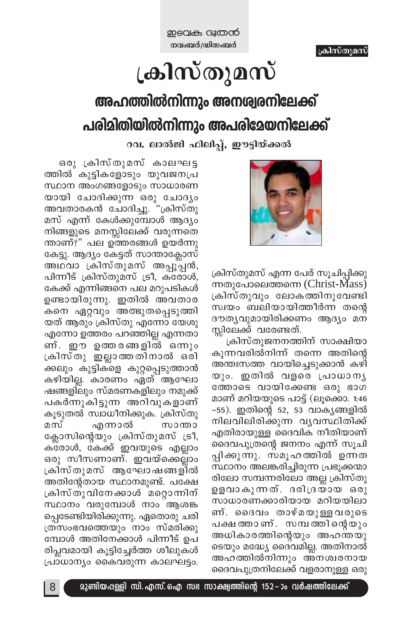# ക്രിസ്തുമസ്

# അഹത്തിൽനിന്നും അനശ്വരനിലേക്ക് പരിമിതിയിൽനിന്നും അപരിമേയനിലേക്ക്

റവ. ലാൽജി ഫിലിപ്പ്, ഈട്ടിയ്ക്കൽ



ക്രിസ്തുമസ് എന്ന പേര് സൂചിപ്പിക്കു ന്നതുപോലെത്തന്നെ (Christ-Mass) ക്രിസ്തുവും ലോകത്തിനുവേണ്ടി സ്വയം ബലിയായിത്തീർന്ന തന്റെ ദൗത്യവുമായിരിക്കണം ആദ്യം മന സ്ലിലേക്ക് വരേണ്ടത്.

ക്രിസ്തുജനനത്തിന് സാക്ഷിയാ കുന്നവരിൽനിന്ന് തന്നെ അതിന്റെ അന്തഃസത്ത വായിച്ചെടുക്കാൻ കഴി യും. ഇതിൽ വളരെ പ്രാധാനൃ ത്തോടെ വായിക്കേണ്ട ഒരു ഭാഗ മാണ് മറിയയുടെ പാട്ട് (ലൂക്കൊ. 1:46 -55). ഇതിന്റെ 52, 53 വാകൃങ്ങളിൽ നിലവിലിരിക്കുന്ന വ്യവസ്ഥിതിക്ക് എതിരായുള്ള ദൈവിക നീതിയാണ് ദൈവപുത്രന്റെ ജനനം എന്ന് സൂചി പ്പിക്കുന്നു. സമൂഹത്തിൽ ഉന്നത സ്ഥാനം അലങ്കരിച്ചിരുന്ന പ്രഭൂക്കന്മാ രിലോ സമ്പന്നരിലോ അല്ല ക്രിസ്തു ഉളവാകുന്നത്. ദരിദ്രയായ ഒരു സാധാരണക്കാരിയായ മറിയയിലാ ണ്. ദൈവം താഴ്മയുള്ളവരുടെ പക്ഷത്താണ്. സമ്പത്തിന്റെയും അധികാരത്തിന്റെയും അഹന്തയു ടെയും മദ്ധ്യേ ദൈവമില്ല. അതിനാൽ അഹത്തിൽനിന്നും അനശ്വരനായ ദൈവപുത്രനിലേക്ക് വളരാനുള്ള ഒരു

ഒരു ക്രിസ്തുമസ് കാലഘട്ട ത്തിൽ കുട്ടികളോടും യുവജനപ്ര സ്ഥാന അംഗങ്ങളോടും സാധാരണ യായി ചോദിക്കുന്ന ഒരു ചോദ്യം അവതാരകൻ ചോദിച്ചു. "ക്രിസ്തു മസ് എന്ന് കേൾക്കുമ്പോൾ ആദ്യം നിങ്ങളുടെ മനസ്സിലേക്ക് വരുന്നതെ ന്താണ്?" പല ഉത്തരങ്ങൾ ഉയർന്നു കേട്ടു. ആദ്യം കേട്ടത് സാന്താക്ലോസ് അഥവാ ക്രിസ്തുമസ് അപ്പൂപ്പൻ, പിന്നീട് ക്രിസ്തുമസ് ട്രീ, കരോൾ, കേക്ക് എന്നിങ്ങനെ പല മറുപടികൾ ഉണ്ടായിരുന്നു. ഇതിൽ അവതാര കനെ ഏറ്റവും അത്ഭുതപ്പെടുത്തി യത് ആരും ക്രിസ്തു എന്നോ യേശു എന്നോ ഉത്തരം പറഞ്ഞില്ല എന്നതാ ണ്. ഈ ഉത്തരങ്ങളിൽ ഒന്നും ക്രിസ്തു ഇല്ലാത്തതിനാൽ ഒരി ക്കലും കുട്ടികളെ കുറ്റപ്പെടുത്താൻ കഴിയില്ല. കാരണം ഏത് ആഘോ ഷങ്ങളിലും സ്മരണകളിലും നമുക്ക് പകർന്നുകിട്ടുന്ന അറിവുകളാണ് കൂടുതൽ സ്വാധീനിക്കുക. ക്രിസ്തു മസ് സാന്താ എന്നാൽ ക്ലോസിന്റെയും ക്രിസ്തുമസ് ട്രീ, കരോൾ, കേക്ക് ഇവയുടെ എല്ലാം ഒരു സീസണാണ്. ഇവയ്ക്കെല്ലാം ക്രിസ്തുമസ് ആഘോഷങ്ങളിൽ അതിന്റേതായ സ്ഥാനമുണ്ട്. പക്ഷേ ക്രിസ്തുവിനേക്കാൾ മറ്റൊന്നിന് സ്ഥാനം വരുമ്പോൾ നാം ആശങ്ക പ്പെടേണ്ടിയിരിക്കുന്നു. ഏതൊരു ചരി ത്രസംഭവത്തെയും നാം സ്മരിക്കു മ്പോൾ അതിനേക്കാൾ പിന്നീട് ഉപ രിപ്ലവമായി കൂട്ടിച്ചേർത്ത ശീലുകൾ പ്രാധാന്യം കൈവരുന്ന കാലഘട്ടം.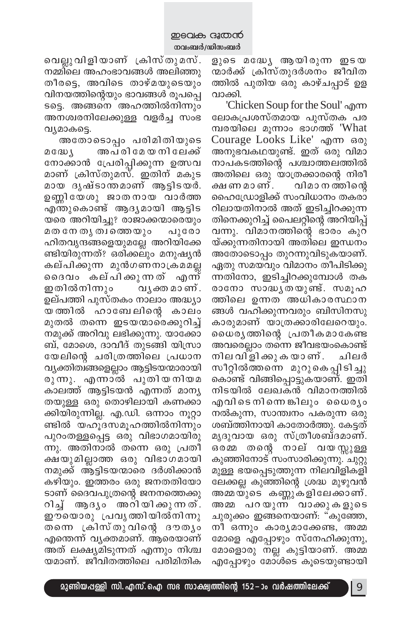വെല്ലുവിളിയാണ് ക്രിസ്തുമസ്. നമ്മിലെ അഹംഭാവങ്ങൾ അലിഞ്ഞു തീരട്ടെ, അവിടെ താഴ്മയുടെയും വിനയത്തിന്റെയും ഭാവങ്ങൾ രൂപപ്പെ ടട്ടെ. അങ്ങനെ അഹത്തിൽനിന്നും അനശ്വരനിലേക്കുള്ള വളർച്ച സംഭ വ്യമാകട്ടെ.

അതോടൊപ്പം പരിമിതിയുടെ മധ്യേ അപരിമേയനിലേക്ക് നോക്കാൻ പ്രേരിപ്പിക്കുന്ന ഉത്സവ മാണ് ക്രിസ്തുമസ്. ഇതിന് മകുട മായ ദൃഷ്ടാന്തമാണ് ആട്ടിടയർ. ഉണ്ണിയേശു ജാതനായ വാർത്ത എന്തുകൊണ്ട് ആദൃമായി ആട്ടിട യരെ അറിയിച്ചു? രാജാക്കന്മാരെയും മത നേ തൃത്വത്തെയും പുരോ ഹിതവൃന്ദങ്ങളെയുമല്ലേ അറിയിക്കേ ണ്ടിയിരുന്നത്? ഒരിക്കലും മനുഷ്യൻ കല്പിക്കുന്ന മുൻഗണനാക്രമമല്ല ദൈവം കല്പിക്കുന്നത് എന്ന് ഇതിൽനിന്നും വൃക്ത മാണ്. ഉല്പത്തി പുസ്തകം നാലാം അദ്ധ്യാ യത്തിൽ ഹാബേലിന്റെ കാലം മുതൽ തന്നെ ഇടയന്മാരെക്കുറിച്ച് നമുക്ക് അറിവു ലഭിക്കുന്നു. യാക്കോ ബ്, മോശെ, ദാവീദ് തുടങ്ങി യിസ്രാ യേലിന്റെ ചരിത്രത്തിലെ പ്രധാന വ്യക്തിത്വങ്ങളെല്ലാം ആട്ടിടയന്മാരായി രുന്നു. എന്നാൽ പുതിയനിയമ കാലത്ത് ആട്ടിടയൻ എന്നത് മാന്യ തയുള്ള ഒരു തൊഴിലായി കണക്കാ ക്കിയിരുന്നില്ല. എ.ഡി. ഒന്നാം നൂറ്റാ ണ്ടിൽ യഹൂദസമൂഹത്തിൽനിന്നും പുറംതള്ളപ്പെട്ട ഒരു വിഭാഗമായിരു ന്നു. അതിനാൽ തന്നെ ഒരു പ്രതീ ക്ഷയുമില്ലാത്ത ഒരു വിഭാഗമായി നമുക്ക് ആട്ടിടയന്മാരെ ദർശിക്കാൻ കഴിയും. ഇത്തരം ഒരു ജനതതിയോ ടാണ് ദൈവപുത്രന്റെ ജനനത്തെക്കു റിച്ച് ആദൃം അറിയിക്കുന്നത്. ഈയൊരു പ്രവൃത്തിയിൽനിന്നു തന്നെ ക്രിസ്തുവിന്റെ ദൗതൃം എന്തെന്ന് വ്യക്തമാണ്. ആരെയാണ് അത് ലക്ഷ്യമിടുന്നത് എന്നും നിശ്ച യമാണ്. ജീവിതത്തിലെ പരിമിതിക

ളുടെ മദ്ധ്യേ ആയിരുന്ന ഇടയ ന്മാർക്ക് ക്രിസ്തുദർശനം ജീവിത ത്തിൽ പുതിയ ഒരു കാഴ്ചപ്പാട് ഉള വാക്കി.

'Chicken Soup for the Soul' എന്ന ലോകപ്രശസ്തമായ പുസ്തക പര മ്പരയിലെ മൂന്നാം ഭാഗത്ത് 'What Courage Looks Like' എന്ന ഒരു അനുഭവകഥയുണ്ട്. ഇത് ഒരു വിമാ നാപകടത്തിന്റെ പശ്ചാത്തലത്തിൽ അതിലെ ഒരു യാത്രക്കാരന്റെ നിരീ ക്ഷ ണ മാ ണ് . വിമാ ന ത്തിന്റെ ഹൈഡ്രോളിക്ക് സംവിധാനം തകരാ റിലായതിനാൽ അത് ഇടിച്ചിറക്കുന്ന തിനെക്കുറിച്ച് പൈലറ്റിന്റെ അറിയിപ്പ് വന്നു. വിമാനത്തിന്റെ ഭാരം കുറ യ്ക്കുന്നതിനായി അതിലെ ഇന്ധനം അതോടൊപ്പം തുറന്നുവിടുകയാണ്. ഏതു സമയവും വിമാനം തീപിടിക്കു ന്നതിനോ, ഇടിച്ചിറക്കുമ്പോൾ തക രാനോ സാദ്ധൃതയുണ്ട്. സമൂഹ ത്തിലെ ഉന്നത അധികാരസ്ഥാന ങ്ങൾ വഹിക്കുന്നവരും ബിസിനസു കാരുമാണ് യാത്രക്കാരിലേറെയും. ധൈരൃത്തിന്റെ പ്രതീകമാകേണ്ട അവരെല്ലാം തന്നെ ജീവഭയംകൊണ്ട് നില വിളി ക്കു ക യാ ണ് . ചിലർ സീറ്റിൽത്തന്നെ മുറുകെപ്പിടിച്ചു കൊണ്ട് വിങ്ങിപ്പൊട്ടുകയാണ്. ഇതി നിടയിൽ ലേഖകൻ വിമാനത്തിൽ എവിടെനിന്നെങ്കിലും ധൈരൃം നൽകുന്ന, സാന്ത്വനം പകരുന്ന ഒരു ശബ്ത്തിനായി കാതോർത്തു. കേട്ടത് മൃദുവായ ഒരു സ്ത്രീശബ്ദമാണ്. ഒരമ്മ തന്റെ നാല് വയസ്സുള്ള കുഞ്ഞിനോട് സംസാരിക്കുന്നു. ചുറ്റു മുള്ള ഭയപ്പെടുത്തുന്ന നിലവിളികളി ലേക്കല്ല കുഞ്ഞിന്റെ ശ്രദ്ധ മുഴുവൻ അമ്മയുടെ കണ്ണുകളിലേക്കാണ്. അമ്മ പറയുന്ന വാക്കുകളുടെ ചുരുക്കം ഇങ്ങനെയാണ്: "കുഞ്ഞേ, നീ ഒന്നും കാര്യമാക്കേണ്ട, അമ്മ മോളെ എപ്പോഴും സ്നേഹിക്കുന്നു, മോളൊരു നല്ല കുട്ടിയാണ്. അമ്മ എപ്പോഴും മോൾടെ കൂടെയുണ്ടായി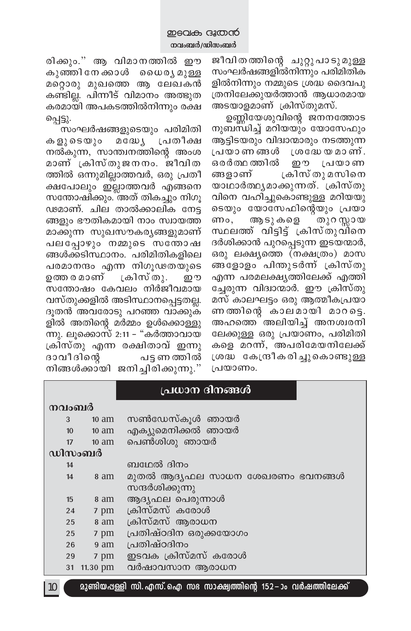രിക്കും." ആ വിമാനത്തിൽ ഈ കുഞ്ഞിനേക്കാൾ ധൈരൃമുള്ള മറ്റൊരു മുഖത്തെ ആ ലേഖകൻ കണ്ടില്ല. പിന്നീട് വിമാനം അത്ഭുത കരമായി അപകടത്തിൽനിന്നും രക്ഷ പ്പെട്ടു.

സംഘർഷങ്ങളുടെയും പരിമിതി കളുടെയും മദ്ധ്യേ പ്രതീക്ഷ നൽകുന്ന, സാന്ത്വനത്തിന്റെ അംശ മാണ് ക്രിസ്തുജനനം. ജീവിത ത്തിൽ ഒന്നുമില്ലാത്തവർ, ഒരു പ്രതീ ക്ഷപോലും ഇല്ലാത്തവർ എങ്ങനെ സന്തോഷിക്കും. അത് തികച്ചും നിഗൂ ഢമാണ്. ചില താൽക്കാലിക നേട്ട ങ്ങളും ഭൗതികമായി നാം സ്വായത്ത മാക്കുന്ന സുഖസൗകര്യങ്ങളുമാണ് പലപ്പോഴും നമ്മുടെ സന്തോഷ ങ്ങൾക്കടിസ്ഥാനം. പരിമിതികളിലെ പരമാനന്ദം എന്ന നിഗൂഢതയുടെ ഉത്തരമാണ് ക്രിസ്തു. றை സന്തോഷം കേവലം നിർജീവമായ വസ്തുക്കളിൽ അടിസ്ഥാനപ്പെട്ടതല്ല. ദൂതൻ അവരോടു പറഞ്ഞ വാക്കുക ളിൽ അതിന്റെ മർമ്മം ഉൾക്കൊള്ളു ന്നു. ലുക്കൊസ് 2:11 – "കർത്താവായ ക്രിസ്തു എന്ന രക്ഷിതാവ് ഇന്നു ദാവീദിന്റെ പട്ട ണ ത്തിൽ നിങ്ങൾക്കായി ജനിച്ചിരിക്കുന്നു.''

ജീവിതത്തിന്റെ ചുറ്റുപാടുമുള്ള സംഘർഷങ്ങളിൽനിന്നും പരിമിതിക ളിൽനിന്നും നമ്മുടെ ശ്രദ്ധ ദൈവപു ത്രനിലേക്കുയർത്താൻ ആധാരമായ അടയാളമാണ് ക്രിസ്തുമസ്.

ഉണ്ണിയേശുവിന്റെ ജനനത്തോട നുബന്ധിച്ച് മറിയയും യോസേഫും ആട്ടിടയരും വിദ്വാന്മാരും നടത്തുന്ന പ്രയാണങ്ങൾ ശ്രദ്ധേയമാണ്. ഒരർത്ഥ ത്തിൽ ഈ സ പ്രയാണ ങ്ങളാണ് ക്രിസ് തു മസിനെ യാഥാർത്ഥൃമാക്കുന്നത്. ക്രിസ്തു വിനെ വഹിച്ചുകൊണ്ടുള്ള മറിയയു ടെയും യോസേഫിന്റെയും പ്രയാ ആടുകളെ തുറ സ്റ്റായ ണം, സ്ഥലത്ത് വിട്ടിട്ട് ക്രിസ്തുവിനെ ദർശിക്കാൻ പുറപ്പെടുന്ന ഇടയന്മാർ, ഒരു ലക്ഷ്യത്തെ (നക്ഷത്രം) മാസ ങ്ങളോളം പിന്തുടർന്ന് ക്രിസ്തു എന്ന പരമലക്ഷ്യത്തിലേക്ക് എത്തി ച്ചേരുന്ന വിദ്വാന്മാർ. ഈ ക്രിസ്തു മസ് കാലഘട്ടം ഒരു ആത്മീകപ്രയാ ണത്തിന്റെ കാലമായി മാറട്ടെ. അഹത്തെ അലിയിച്ച് അനശ്വരനി ലേക്കുള്ള ഒരു പ്രയാണം, പരിമിതി കളെ മറന്ന്, അപരിമേയനിലേക്ക് ശ്രദ്ധ കേന്ദ്രീകരിച്ചുകൊണ്ടുള്ള പ്രയാണം.

|       |                  |                 | പ്രധാന ദിനങ്ങൾ                                                             |
|-------|------------------|-----------------|----------------------------------------------------------------------------|
| നവംബർ |                  |                 |                                                                            |
| 3     |                  | $10 \text{ am}$ | സൺഡേസ്കൂൾ ഞായർ                                                             |
|       | 10 <sup>10</sup> | $10 \text{ am}$ | എക്യുമെനിക്കൽ ഞായർ                                                         |
|       | 17               | $10 \text{ am}$ | പെൺശിശു ഞായർ                                                               |
|       |                  | ഡിസംബർ          |                                                                            |
|       | 14               |                 | ബഥേൽ ദിനം                                                                  |
|       | 14               | 8 am            | മുതൽ ആദ്യഫല സാധന ശേഖരണം ഭവനങ്ങൾ                                            |
|       |                  |                 | സന്ദർശിക്കുന്നു                                                            |
|       | 15               | 8 am            | ആദൃഫല പെരുന്നാൾ                                                            |
|       | 24               | 7 pm            | ക്രിസ്മസ് കരോൾ                                                             |
|       | 25               | 8 am            | ക്രിസ്മസ് ആരാധന                                                            |
|       | 25               | 7 pm            | പ്രതിഷ്ഠദിന ഒരുക്കയോഗം                                                     |
|       | 26               | 9 am            | പ്രതിഷ്ഠദിനം                                                               |
|       | 29               | 7 pm            | ഇടവക ക്രിസ്മസ് കരോൾ                                                        |
|       | 31               | 11.30 pm        | വർഷാവസാന ആരാധന                                                             |
| 10    |                  |                 | <u> മുണ്ടിയപ്പള്ളി സി. എസ്. ഐ സഭ സാക്ഷ്വത്തിന്റെ 152 –ാം വർഷത്തിലേക്ക്</u> |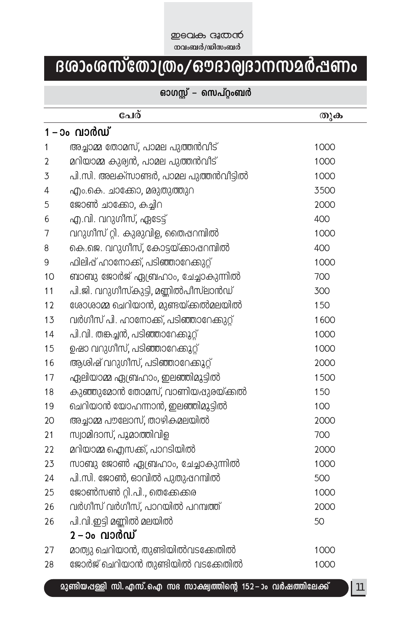#### **D**BQLA G&COCO **നവംബർ/ഡിസംബർ**

# Bശാംശസ്തോത്രം/ഔദാര്വദാനസമർ**ഷ**ണം

### ഓഗസ്റ്റ് – സെപ്റ്റംബർ

|    | പേര്                                   | തുക  |  |  |  |  |
|----|----------------------------------------|------|--|--|--|--|
|    | 1 – ാം വാർഡ്                           |      |  |  |  |  |
| 1  | അച്ചാമ്മ തോമസ്, പാമല പുത്തൻവീട്        | 1000 |  |  |  |  |
| 2  | മറിയാമ്മ കുര്യൻ, പാമല പുത്തൻവീട്       | 1000 |  |  |  |  |
| 3  | പി.സി. അലക്സാണ്ടർ, പാമല പുത്തൻവീട്ടിൽ  | 1000 |  |  |  |  |
| 4  | എം.കെ. ചാക്കോ, മരുതുത്തുറ              | 3500 |  |  |  |  |
| 5  | ജോൺ ചാക്കോ, കച്ചിറ                     | 2000 |  |  |  |  |
| 6  | എ.വി. വറുഗീസ്, ഏടേട്ട്                 | 400  |  |  |  |  |
| 7  | വറുഗീസ് റ്റി. കുരുവിള, തൈഷറമ്പിൽ       | 1000 |  |  |  |  |
| 8  | കെ.ജെ. വറുഗീസ്, കോട്ടയ്ക്കാഷറമ്പിൽ     | 400  |  |  |  |  |
| 9  | ഫിലിപ്പ് ഹാനോക്ക്, പടിഞ്ഞാറേക്കുറ്റ്   | 1000 |  |  |  |  |
| 10 | ബാബു ജോർജ് ഏബ്രഹാം, ചേച്ചാകുന്നിൽ      | 700  |  |  |  |  |
| 11 | പി.ജി. വറുഗീസ്കുട്ടി, മണ്ണിൽപീസ്ലാൻഡ്  | 300  |  |  |  |  |
| 12 | ശോശാമ്മ ചെറിയാൻ, മുണ്ടയ്ക്കൽമലയിൽ      | 150  |  |  |  |  |
| 13 | വർഗീസ് പി. ഹാനോക്ക്, പടിഞ്ഞാറേക്കുറ്റ് | 1600 |  |  |  |  |
| 14 | പി.വി. തങ്കച്ചൻ, പടിഞ്ഞാറേക്കുറ്റ്     | 1000 |  |  |  |  |
| 15 | ഉഷാ വറുഗീസ്, പടിഞ്ഞാറേക്കുറ്റ്         | 1000 |  |  |  |  |
| 16 | ആശിഷ് വറുഗീസ്, പടിഞ്ഞാറേക്കുറ്റ്       | 2000 |  |  |  |  |
| 17 | ഏലിയാമ്മ ഏബ്രഹാം, ഇലഞ്ഞിമുട്ടിൽ        | 1500 |  |  |  |  |
| 18 | കുഞ്ഞുമോൻ തോമസ്, വാണിയപ്പുരയ്ക്കൽ      | 150  |  |  |  |  |
| 19 | ചെറിയാൻ യോഹന്നാൻ, ഇലഞ്ഞിമുട്ടിൽ        | 100  |  |  |  |  |
| 20 | അച്ചാമ്മ പൗലോസ്, താഴികമലയിൽ            | 2000 |  |  |  |  |
| 21 | സ്വാമിദാസ്, പുമാത്തിവിള                | 700  |  |  |  |  |
| 22 | മറിയാമ്മ ഐസക്ക്, പാറടിയിൽ              | 2000 |  |  |  |  |
| 23 | സാബു ജോൺ ഏബ്രഹാം, ചേച്ചാകുന്നിൽ        | 1000 |  |  |  |  |
| 24 | പി.സി. ജോൺ, ഓവിൽ പുതുഷറമ്പിൽ           | 500  |  |  |  |  |
| 25 | ജോൺസൺ റ്റി.പി., തെക്കേക്കര             | 1000 |  |  |  |  |
| 26 | വർഗീസ് വർഗീസ്, പാറയിൽ പറമ്പത്ത്        | 2000 |  |  |  |  |
| 26 | പി.വി.ഇട്ടി മണ്ണിൽ മലയിൽ               | 50   |  |  |  |  |
|    | 2 – ാംവാർഡ്                            |      |  |  |  |  |
| 27 | മാത്യു ചെറിയാൻ, തുണ്ടിയിൽവടക്കേതിൽ     | 1000 |  |  |  |  |
| 28 | ജോർജ് ചെറിയാൻ തുണ്ടിയിൽ വടക്കേതിൽ      | 1000 |  |  |  |  |

**മുണ്ടിയ**ഷള്ളി സി. എസ്. ഐ സഭ സാക്ഷ്വത്തിന്റെ 152−ാം വർഷത്തിലേക്ക്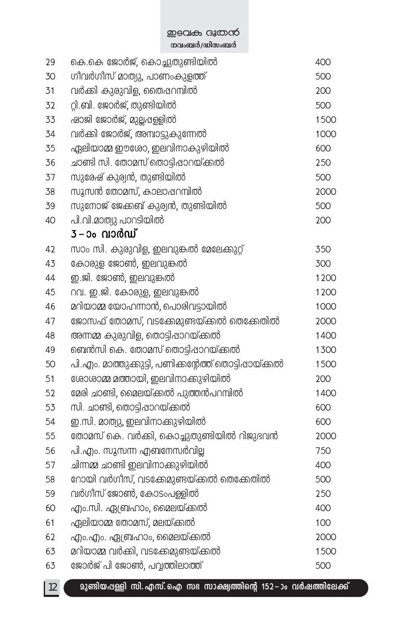**mean B നവംബർ/ഡിസംബർ** 

| 29 | കെ.കെ ജോർജ്, കൊച്ചുതുണ്ടിയിൽ                           | 400  |
|----|--------------------------------------------------------|------|
| 30 | ഗിവർഗിസ് മാത്യു, പാണംകുളത്ത്                           | 500  |
| 31 | വർക്കി കുരുവിള, തൈഷറമ്പിൽ                              | 200  |
| 32 | റ്റി.ബി. ജോർജ്, തുണ്ടിയിൽ                              | 500  |
| 33 | ഷാജി ജോർജ്, മുല്ലപ്പള്ളിൽ                              | 1500 |
| 34 | വർക്കി ജോർജ്, അമ്പാട്ടുകുന്നേൽ                         | 1000 |
| 35 | ഏലിയാമ്മ ഈശോ, ഇലവിനാകുഴിയിൽ                            | 600  |
| 36 | ചാണ്ടി സി. തോമസ് തൊട്ടിഷാറയ്ക്കൽ                       | 250  |
| 37 | സുരേഷ് കുര്യൻ, തുണ്ടിയിൽ                               | 500  |
| 38 | സുസൻ തോമസ്, കാലാപ്പറമ്പിൽ                              | 2000 |
| 39 | സുനോജ് ജേക്കബ് കുര്യൻ, തുണ്ടിയിൽ                       | 500  |
| 40 | പി.വി.മാത്യു പാറടിയിൽ                                  | 200  |
|    | 3 – ാം <b>വാർഡ്</b>                                    |      |
| 42 | സാം സി. കുരുവിള, ഇലവുങ്കൽ മേലേക്കുറ്റ്                 | 350  |
| 43 | കോരുള ജോൺ, ഇലവുങ്കൽ                                    | 300  |
| 44 | ഇ.ജി. ജോൺ, ഇലവുങ്കൽ                                    | 1200 |
| 45 | റവ. ഇ.ജി. കോരുള, ഇലവുങ്കൽ                              | 1200 |
| 46 | മറിയാമ്മ യോഹന്നാൻ, പൊരിവട്ടായിൽ                        | 1000 |
| 47 | ജോസഫ് തോമസ്, വടക്കേമുണ്ടയ്ക്കൽ തെക്കേതിൽ               | 2000 |
| 48 | അന്നമ്മ കുരുവിള, തൊട്ടിഷാറയ്ക്കൽ                       | 1400 |
| 49 | ബെൻസി കെ. തോമസ് തൊട്ടിഷാറയ്ക്കൽ                        | 1300 |
| 50 | പി.എം. മാത്തുക്കുട്ടി, പണിക്കന്റേത്ത് തൊട്ടിപ്പായ്ക്കൽ | 1500 |
| 51 | ശോശാമ്മ മത്തായി, ഇലവിനാക്കുഴിയിൽ                       | 200  |
| 52 | മേരി ചാണ്ടി, മൈലയ്ക്കൽ പുത്തൻപറമ്പിൽ                   | 1400 |
| 53 | സി. ചാണ്ടി, തൊട്ടിഷാറയ്ക്കൽ                            | 600  |
| 54 | ഇ.സി. മാത്യു, ഇലവിനാക്കുഴിയിൽ                          | 600  |
| 55 | തോമസ് കെ. വർക്കി, കൊച്ചുതുണ്ടിയിൽ റിജുഭവൻ              | 2000 |
| 56 | പി.എം. സുസന്ന എബനേസർവില്ല                              | 750  |
| 57 | ചിന്നമ്മ ചാണ്ടി ഇലവിനാക്കുഴിയിൽ                        | 400  |
| 58 | റോയി വർഗീസ്, വടക്കേമുണ്ടയ്ക്കൽ തെക്കേതിൽ               | 500  |
| 59 | വർഗിസ് ജോൺ, കോടംപള്ളിൽ                                 | 250  |
| 60 | എം.സി. ഏബ്രഹാം, മൈലയ്ക്കൽ                              | 400  |
| 61 | ഏലിയാമ്മ തോമസ്, മലയ്ക്കൽ                               | 100  |
| 62 | എം.എം. ഏബ്രഹാം, മൈലയ്ക്കൽ                              | 2000 |
| 63 | മറിയാമ്മ വർക്കി, വടക്കേമുണ്ടയ്ക്കൽ                     | 1500 |
| 63 | ജോർജ് പി ജോൺ, പവ്വത്തിലാത്ത്                           | 500  |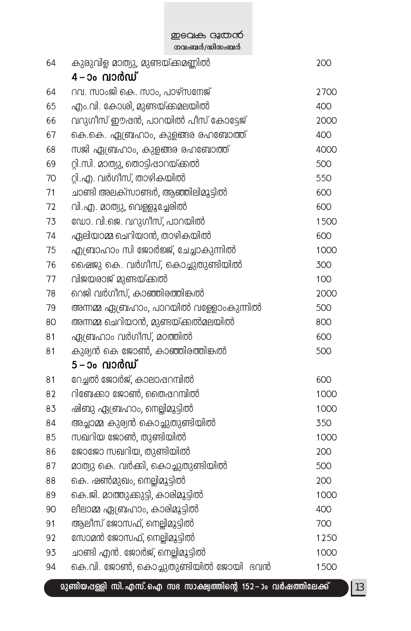ഇടവക ദൂതൻ \_\_<br>നവംബർ/ഡിസംബർ

| 64 | കുരുവിള മാത്യു, മുണ്ടയ്ക്കമണ്ണിൽ<br>4 – ാം വാർഡ് | 200  |
|----|--------------------------------------------------|------|
| 64 | റവ. സാംജി കെ. സാം, പാഴ്സനേജ്                     | 2700 |
| 65 | എം.വി. കോശി, മുണ്ടയ്ക്കമലയിൽ                     | 400  |
| 66 | വറുഗീസ് ഈഷൻ, പാറയിൽ പീസ് കോട്ടേജ്                | 2000 |
| 67 | കെ.കെ. ഏബ്രഹാം, കുളങ്ങര രഹബോത്ത്                 | 400  |
| 68 | സജി ഏബ്രഹാം, കുളങ്ങര രഹബോത്ത്                    | 4000 |
| 69 | റ്റി.സി. മാത്യു, തൊട്ടിഷാറയ്ക്കൽ                 | 500  |
| 70 | റ്റി.എ. വർഗീസ്, താഴികയിൽ                         | 550  |
| 71 | ചാണ്ടി അലക്സാണ്ടർ, ആഞ്ഞിലിമുട്ടിൽ                | 600  |
| 72 | വി.എ. മാത്യു, വെള്ളുച്ചേരിൽ                      | 600  |
| 73 | ഡോ. വി.ജെ. വറുഗീസ്, പാറയിൽ                       | 1500 |
| 74 | ഏലിയാമ്മ ചെറിയാൻ, താഴികയിൽ                       | 600  |
| 75 | എബ്രാഹാം സി ജോർജ്ജ്, ചേച്ചാകുന്നിൽ               | 1000 |
| 76 | ഷൈജു കെ. വർഗീസ്, കൊച്ചുതുണ്ടിയിൽ                 | 300  |
| 77 | വിജയരാജ് മുണ്ടയ്ക്കൽ                             | 100  |
| 78 | റെജി വർഗീസ്, കാഞ്ഞിരത്തിങ്കൽ                     | 2000 |
| 79 | അന്നമ്മ ഏബ്രഹാം, പാറയിൽ വള്ളോംകുന്നിൽ            | 500  |
| 80 | അന്നമ്മ ചെറിയാൻ, മുണ്ടയ്ക്കൽമലയിൽ                | 800  |
| 81 | ഏബ്രഹാം വർഗീസ്, മഠത്തിൽ                          | 600  |
| 81 | കുര്യൻ കെ ജോൺ, കാഞ്ഞിരത്തിങ്കൽ                   | 500  |
|    | 5 – ാം വാർഡ്                                     |      |
| 81 | റേച്ചൽ ജോർജ്, കാലാപ്പറമ്പിൽ                      | 600  |
| 82 | റിബേക്കാ ജോൺ, തൈപ്പറമ്പിൽ                        | 1000 |
| 83 | ഷിബു ഏബ്രഹാം, നെല്ലിമുട്ടിൽ                      | 1000 |
| 84 | അച്ചാമ്മ കുര്യൻ കൊച്ചുതുണ്ടിയിൽ                  | 350  |
| 85 | സഖറിയ ജോൺ, തുണ്ടിയിൽ                             | 1000 |
| 86 | ജോജോ സഖറിയ, തുണ്ടിയിൽ                            | 200  |
| 87 | മാത്യു കെ. വർക്കി, കൊച്ചുതുണ്ടിയിൽ               | 500  |
| 88 | കെ. ഷൺമുഖം, നെല്ലിമുട്ടിൽ                        | 200  |
| 89 | കെ.ജി. മാത്തുക്കുട്ടി, കാരിമുട്ടിൽ               | 1000 |
| 90 | ലീലാമ്മ ഏബ്രഹാം, കാരിമുട്ടിൽ                     | 400  |
| 91 | ആലീസ് ജോസഫ്, നെല്ലിമുട്ടിൽ                       | 700  |
| 92 | സോമൻ ജോസഫ്, നെല്ലിമുട്ടിൽ                        | 1250 |
| 93 | ചാണ്ടി എൻ. ജോർജ്, നെല്ലിമുട്ടിൽ                  | 1000 |
| 94 | കെ.വി. ജോൺ, കൊച്ചുതുണ്ടിയിൽ ജോയി ഭവൻ<br>h        | 1500 |

\_ മുണ്ടിയപ്പള്ളി സി. എസ്. ഐ സഭ സാക്ഷ്വത്തിന്റെ 152−ാം വർഷത്തിലേക്ക്

 $\frac{13}{2}$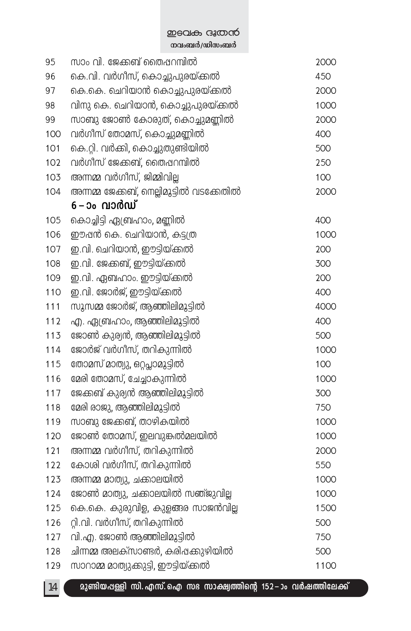**mean B നവംബർ/ഡിസംബർ** 

| 95  | സാം വി. ജേക്കബ് തൈഷറമ്പിൽ                | 2000 |
|-----|------------------------------------------|------|
| 96  | കെ.വി. വർഗിസ്, കൊച്ചുപുരയ്ക്കൽ           | 450  |
| 97  | കെ.കെ. ചെറിയാൻ കൊച്ചുപുരയ്ക്കൽ           | 2000 |
| 98  | വിനു കെ. ചെറിയാൻ, കൊച്ചുപുരയ്ക്കൽ        | 1000 |
| 99  | സാബു ജോൺ കോരുത്, കൊച്ചുമണ്ണിൽ            | 2000 |
| 100 | വർഗിസ് തോമസ്, കൊച്ചുമണ്ണിൽ               | 400  |
| 101 | കെ.റ്റി. വർക്കി, കൊച്ചുതുണ്ടിയിൽ         | 500  |
| 102 | വർഗിസ് ജേക്കബ്, തൈഷറമ്പിൽ                | 250  |
| 103 | അന്നമ്മ വർഗീസ്, ജിമ്മിവില്ല              | 100  |
| 104 | അന്നമ്മ ജേക്കബ്, നെല്ലിമുട്ടിൽ വടക്കേതിൽ | 2000 |
|     | 6 – ാം വാർഡ്                             |      |
| 105 | കൊച്ചിട്ടി ഏബ്രഹാം, മണ്ണിൽ               | 400  |
| 106 | ഈപ്പൻ കെ. ചെറിയാൻ, കട്ടത്ര               | 1000 |
| 107 | ഇ.വി. ചെറിയാൻ, ഈട്ടിയ്ക്കൽ               | 200  |
| 108 | ഇ.വി. ജേക്കബ്, ഈട്ടിയ്ക്കൽ               | 300  |
| 109 | ഇ.വി. ഏബഹാം. ഈട്ടിയ്ക്കൽ                 | 200  |
| 110 | ഇ.വി. ജോർജ്, ഈട്ടിയ്ക്കൽ                 | 400  |
| 111 | സുസമ്മ ജോർജ്, ആഞ്ഞിലിമുട്ടിൽ             | 4000 |
| 112 | എ. ഏബ്രഹാം, ആഞ്ഞിലിമുട്ടിൽ               | 400  |
| 113 | ജോൺ കുര്യൻ, ആഞ്ഞിലിമുട്ടിൽ               | 500  |
| 114 | ജോർജ് വർഗീസ്, തറികുന്നിൽ                 | 1000 |
| 115 | തോമസ് മാത്യു, ഒറ്റപ്ലാമുട്ടിൽ            | 100  |
| 116 | മേരി തോമസ്, ചേച്ചാകുന്നിൽ                | 1000 |
| 117 | ജേക്കബ് കുര്യൻ ആഞ്ഞിലിമുട്ടിൽ            | 300  |
| 118 | മേരി രാജു, ആഞ്ഞിലിമുട്ടിൽ                | 750  |
| 119 | സാബു ജേക്കബ്, താഴികയിൽ                   | 1000 |
| 120 | ജോൺ തോമസ്, ഇലവുങ്കൽമലയിൽ                 | 1000 |
| 121 | അന്നമ്മ വർഗീസ്, തറികുന്നിൽ               | 2000 |
| 122 | കോശി വർഗീസ്, തറികുന്നിൽ                  | 550  |
| 123 | അന്നമ്മ മാത്യു, ചക്കാലയിൽ                | 1000 |
| 124 | ജോൺ മാത്യു, ചക്കാലയിൽ സഞ്ജുവില്ല         | 1000 |
| 125 | കെ.കെ. കുരുവിള, കുളങ്ങര സാജൻവില്ല        | 1500 |
| 126 | റ്റി.വി. വർഗീസ്, തറികുന്നിൽ              | 500  |
| 127 | വി.എ. ജോൺ ആഞ്ഞിലിമുട്ടിൽ                 | 750  |
| 128 | ചിന്നമ്മ അലക്സാണ്ടർ, കരിഷക്കുഴിയിൽ       | 500  |
| 129 | സാറാമ്മ മാത്യുക്കുട്ടി, ഈട്ടിയ്ക്കൽ      | 1100 |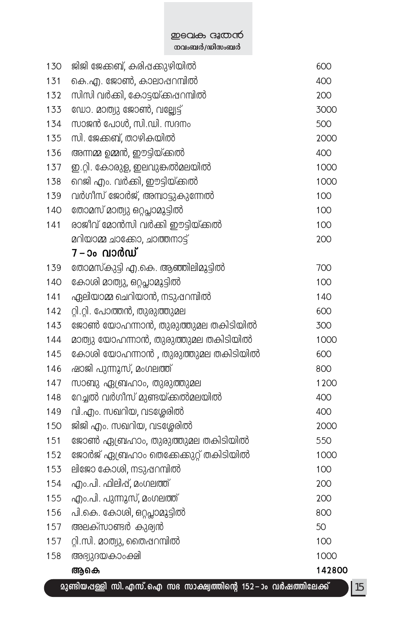### **P**BOL<del>O</del> G&OOCO <del>\_</del><br>തവംബർ/ഡിസംബർ

| 130 | ജിജി ജേക്കബ്, കരിപ്പക്കുഴിയിൽ                                      | 600    |
|-----|--------------------------------------------------------------------|--------|
| 131 | കെ.എ. ജോൺ, കാലാഷറമ്പിൽ                                             | 400    |
| 132 | സിസി വർക്കി, കോട്ടയ്ക്കപ്പറമ്പിൽ                                   | 200    |
| 133 | ഡോ. മാത്യു ജോൺ, വല്ല്യേട്ട്                                        | 3000   |
| 134 | സാജൻ പോൾ, സി.ഡി. സദനം                                              | 500    |
| 135 | സി. ജേക്കബ്, താഴികയിൽ                                              | 2000   |
| 136 | അന്നമ്മ ഉമ്മൻ, ഈട്ടിയ്ക്കൽ                                         | 400    |
| 137 | ഇ.റ്റി. കോരുള, ഇലവുങ്കൽമലയിൽ                                       | 1000   |
| 138 | റെജി എം. വർക്കി, ഈട്ടിയ്ക്കൽ                                       | 1000   |
| 139 | വർഗീസ് ജോർജ്, അമ്പാട്ടുകുന്നേൽ                                     | 100    |
| 140 | തോമസ് മാത്യു ഒറ്റപ്ലാമുട്ടിൽ                                       | 100    |
| 141 | രാജീവ് മോൻസി വർക്കി ഈട്ടിയ്ക്കൽ                                    | 100    |
|     | മറിയാമ്മ ചാക്കോ, ചാത്തനാട്ട്                                       | 200    |
|     | 7 – ാം വാർഡ്                                                       |        |
| 139 | തോമസ്കുട്ടി എ.കെ. ആഞ്ഞിലിമുട്ടിൽ                                   | 700    |
| 140 | കോശി മാത്യു, ഒറ്റപ്ലാമുട്ടിൽ                                       | 100    |
| 141 | ഏലിയാമ്മ ചെറിയാൻ, നടുഷറമ്പിൽ                                       | 140    |
| 142 | റ്റി.റ്റി. പോത്തൻ, തുരുത്തുമല                                      | 600    |
| 143 | ജോൺ യോഹന്നാൻ, തുരുത്തുമല തകിടിയിൽ                                  | 300    |
| 144 | മാത്യു യോഹന്നാൻ, തുരുത്തുമല തകിടിയിൽ                               | 1000   |
| 145 | കോശി യോഹന്നാൻ , തുരുത്തുമല തകിടിയിൽ                                | 600    |
| 146 | ഷാജി പുന്നുസ്, മംഗലത്ത്                                            | 800    |
| 147 | സാബു ഏബ്രഹാം, തുരുത്തുമല                                           | 1200   |
| 148 | റേച്ചൽ വർഗിസ് മുണ്ടയ്ക്കൽമലയിൽ                                     | 400    |
| 149 | വി.എം. സഖറിയ, വടശ്ശേരിൽ                                            | 400    |
| 150 | ജിജി എം. സഖറിയ, വടശ്ശേരിൽ                                          | 2000   |
| 151 | ജോൺ ഏബ്രഹാം, തുരുത്തുമല തകിടിയിൽ                                   | 550    |
| 152 | ജോർജ് ഏബ്രഹാം തെക്കേക്കുറ്റ് തകിടിയിൽ                              | 1000   |
| 153 | ലിജോ കോശി, നടുപ്പറമ്പിൽ                                            | 100    |
| 154 | എം.പി. ഫിലിഷ്, മംഗലത്ത്                                            | 200    |
| 155 | എം.പി. പുന്നുസ്, മംഗലത്ത്                                          | 200    |
| 156 | പി.കെ. കോശി, ഒറ്റപ്ലാമുട്ടിൽ                                       | 800    |
| 157 | അലക്സാണ്ടർ കുര്വൻ                                                  | 50     |
| 157 | റ്റി.സി. മാത്യു, തൈഷറമ്പിൽ                                         | 100    |
| 158 | അഭ്യുദയകാംക്ഷി                                                     | 1000   |
|     | ആകെ                                                                | 142800 |
|     | മുണ്ടിയപ്പള്ളി സി. എസ്. ഐ സഭ സാക്ഷ്വത്തിന്റെ 152 –ാം വർഷത്തിലേക്ക് |        |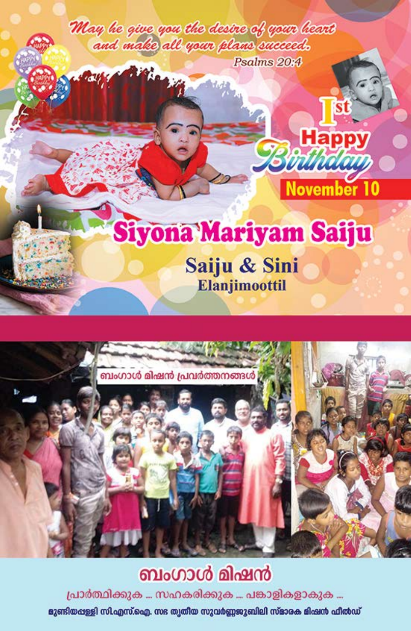May he give you the desire of your heart and make all your plans succeed. Psalms 20:4

# Siyona Mariyam Saiju

st

**Happy** 

dhaaa

November 10

Saiju & Sini Elanjimoottil



# ബംഗാൾ മിഷൻ

പ്രാർത്ഥിക്കുക … സഹകരിക്കുക … പങ്കാളികളാകുക …

മുണ്ടിയപ്പള്ളി സി.എസ്.ഐ. സഭ ത്വതീയ സുവർണ്ണജുബിലി സ്ഭാരക മിഷൻ ഫീൽഡ്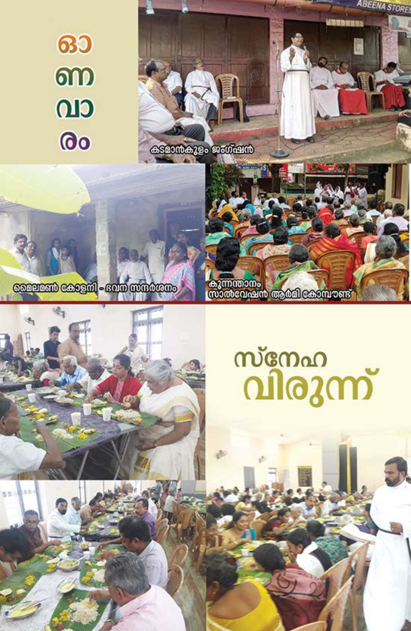# **630** ണ CLO രം



congram cosagul - sano wurdware

出版

കുന്നന്താനം<br>സാൽവേഷൻ ആർമി കോമ്പൗണ്ട്

# സ്നേഹ<br>വിരുന്ന്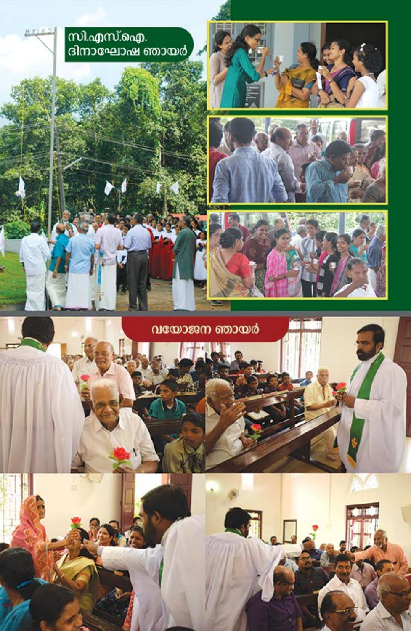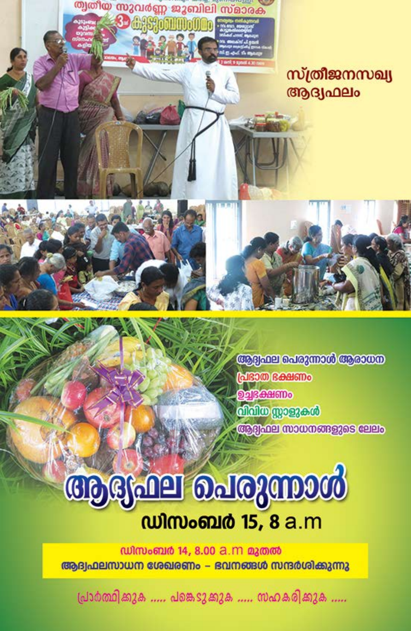

ആദ്വഫല പെരുന്നാൾ ആരാധന പ്രഭാത ഭക്ഷണം **Од|Realimo** നിനിയ സാളുകൾ ആദ്വഹല സാധനങ്ങളുടെ ലേലം

# ആഭ്യഫല ചെരുന്നാൾ *culmomid* 15, 8 a.m

ഡിസംബർ 14, 8.00 a.m മുതൽ ആദ്വഫലസാധന ശേഖരണം – ഭവനങ്ങൾ സന്ദർശിക്കുന്നു

പ്രാർത്ഥിക്കുക ..... പങ്കെടുക്കുക ..... സഹകരിക്കുക .....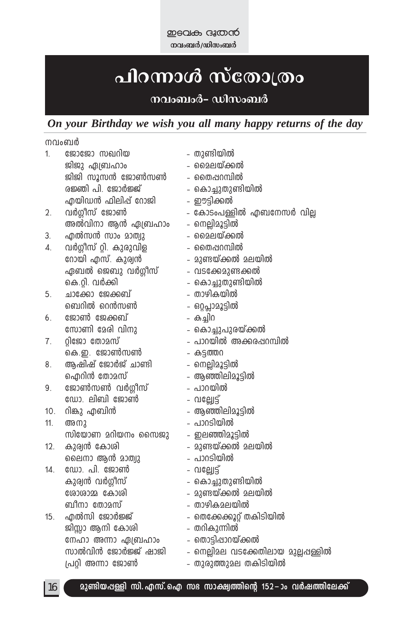**mean B നവംബർ/ഡിസംബർ** 

# <mark>പിറന്നാൾ സ്തോത്ര</mark>ം

### നവംബംർ**- ഡിസംബ**ർ

### *On your Birthday we wish you all many happy returns of the day*

നവംബർ

| 1.  | ജോജോ സഖറിയ             | - തുണ്ടിയിൽ         |                                      |
|-----|------------------------|---------------------|--------------------------------------|
|     | ജിജു ഏബ്രഹാം           | മൈലയ്ക്കൽ           |                                      |
|     | ജിജി സൂസൻ ജോൺസൺ        | - തൈഷറമ്പിൽ         |                                      |
|     | രജ്ഞി പി. ജോർജ്ജ്      | - കൊച്ചുതുണ്ടിയിൽ   |                                      |
|     | എയിഡൻ ഫിലിപ്പ് റോജി    | - ഈട്ടിക്കൽ         |                                      |
| 2.  | വർഗ്ഗീസ് ജോൺ           |                     | - കോടംപള്ളിൽ എബനേസർ വില്ല            |
|     | അൽവിനാ ആൻ ഏബ്രഹാം      | - നെല്ലിമൂട്ടിൽ     |                                      |
| 3.  | എൽസൻ സാം മാത്വു        | - മൈലയ്ക്കൽ         |                                      |
| 4.  | വർഗ്ഗീസ് റ്റി. കുരുവിള | - തൈഷറമ്പിൽ         |                                      |
|     | റോയി എസ്. കുര്വൻ       | - മുണ്ടയ്ക്കൽ മലയിൽ |                                      |
|     | ഏബൽ ജെബു വർഗ്ഗീസ്      | - വടക്കേമുണ്ടക്കൽ   |                                      |
|     | കെ.റ്റി. വർക്കി        | കൊച്ചുതുണ്ടിയിൽ     |                                      |
| 5.  | ചാക്കോ ജേക്കബ്         | താഴികയിൽ            |                                      |
|     | ബെറിൽ റെൻസൺ            | - ഒറ്റപ്ലാമൂട്ടിൽ   |                                      |
| 6.  | ജോൺ ജേക്കബ്            | – കച്ചിറ            |                                      |
|     | സോണി മേരി വിനു         | - കൊച്ചുപുരയ്ക്കൽ   |                                      |
| 7.  | റ്റിജോ തോമസ്           |                     | - പാറയിൽ അക്കരപ്പറമ്പിൽ              |
|     | കെ.ഇ. ജോൺസൺ            | - കട്ടത്തറ          |                                      |
| 8.  | ആഷിഷ് ജോർജ് ചാണ്ടി     | - നെല്ലിമൂട്ടിൽ     |                                      |
|     | ഐറിൻ തോമസ്             | - ആഞ്ഞിലിമൂട്ടിൽ    |                                      |
| 9.  | ജോൺസൺ വർഗ്ഗീസ്         | - പാറയിൽ            |                                      |
|     | ഡോ. ലിബി ജോൺ           | - വല്ലോട്ട്         |                                      |
| 10. | റിങ്കു എബിൻ            | - ആഞ്ഞിലിമൂട്ടിൽ    |                                      |
| 11. | അനു                    | - പാറടിയിൽ          |                                      |
|     | സിയോണ മറിയനം സൈജു      | ഇലഞ്ഞിമൂട്ടിൽ       |                                      |
| 12. | കുര്വൻ കോശി            | - മുണ്ടയ്ക്കൽ മലയിൽ |                                      |
|     | ലൈനാ ആൻ മാത്വു         | - പാറടിയിൽ          |                                      |
| 14. | ഡോ. പി. ജോൺ            | - បាទេ្យា3្ម        |                                      |
|     | കുര്വൻ വർഗ്ഗീസ്        | - കൊച്ചുതുണ്ടിയിൽ   |                                      |
|     | ശോശാമ്മ കോശി           | - മുണ്ടയ്ക്കൽ മലയിൽ |                                      |
|     | ബീനാ തോമസ്             | - താഴികമലയിൽ        |                                      |
| 15. | എൽസി ജോർജ്ജ്           |                     | തെക്കേക്കൂറ്റ് തകിടിയിൽ              |
|     | ജിസ്സാ ആനി കോശി        | - തറികുന്നിൽ        |                                      |
|     | നേഹാ അന്നാ ഏബ്രഹാം     | - തൊട്ടിഷാറയ്ക്കൽ   |                                      |
|     | സാൽവിൻ ജോർജ്ജ് ഷാജി    |                     | - നെല്ലിമല വടക്കേതിലായ മുല്ലപ്പള്ളിൽ |
|     | പ്രറ്റി അന്നാ ജോൺ      |                     | - തുരുത്തുമല തകിടിയിൽ                |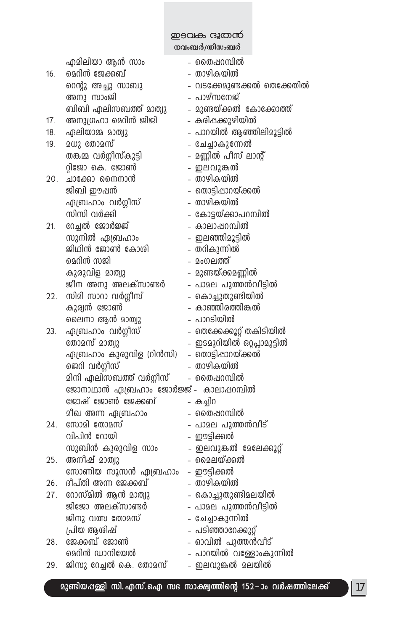теат скара

നവംബർ/ഡിസംബർ

|                 | എമിലിയാ ആൻ സാം                        | – തൈഷറമ്പിൽ                 |
|-----------------|---------------------------------------|-----------------------------|
| 16.             | മെറിൻ ജേക്കബ്                         | - താഴികയിൽ                  |
|                 | റെന്റു അച്ചു സാബു                     | - വടക്കേമുണ്ടക്കൽ തെക്കേതിൽ |
|                 | അനു സാംജി                             | - പാഴ്സനേജ്                 |
|                 | ബിബി എലിസബത്ത് മാത്വു                 | - മുണ്ടയ്ക്കൽ കോക്കോത്ത്    |
| 17 <sub>1</sub> | അനുഗ്രഹാ മെറിൻ ജിജി                   | - കരിപ്പക്കുഴിയിൽ           |
| 18.             | ഏലിയാമ്മ മാത്വു                       | - പാറയിൽ ആഞ്ഞിലിമൂട്ടിൽ     |
| 19.             | മധു തോമസ്                             | - ചേച്ചാകുന്നേൽ             |
|                 | തങ്കമ്മ വർഗ്ഗീസ്കുട്ടി                | - മണ്ണിൽ പീസ് ലാന്റ്        |
|                 | റ്റിജോ കെ. ജോൺ                        | - ഇലവുങ്കൽ                  |
| 20.             | ചാക്കോ നൈനാൻ                          | - താഴികയിൽ                  |
|                 | ജിബി ഈപ്പൻ                            | - തൊട്ടിഷാറയ്ക്കൽ           |
|                 | ഏബ്രഹാം വർഗ്ഗീസ്                      | - താഴികയിൽ                  |
|                 | സിസി വർക്കി                           | - കോട്ടയ്ക്കാപറമ്പിൽ        |
| 21.             | റേച്ചൽ ജോർജ്ജ്                        | - കാലാഷറമ്പിൽ               |
|                 | സുനിൽ ഏബ്രഹാം                         | - ഇലഞ്ഞിമൂട്ടിൽ             |
|                 | ജിഥിൻ ജോൺ കോശി                        | - തറികുന്നിൽ                |
|                 | മെറിൻ സജി                             | - മംഗലത്ത്                  |
|                 | കുരുവിള മാത്വു                        | - മുണ്ടയ്ക്കമണ്ണിൽ          |
|                 | ജീന അനു അലക്സാണ്ടർ                    | - പാമല പുത്തൻവീട്ടിൽ        |
| 22.             | സിമി സാറാ വർഗ്ഗീസ്                    | - കൊച്ചുതുണ്ടിയിൽ           |
|                 | കുര്വൻ ജോൺ                            | - കാഞ്ഞിരത്തിങ്കൽ           |
|                 | ലൈനാ ആൻ മാത്വു                        | - പാറടിയിൽ                  |
| 23.             | ഏബ്രഹാം വർഗ്ഗീസ്                      | - തെക്കേക്കൂറ്റ് തകിടിയിൽ   |
|                 | തോമസ് മാത്വു                          | - ഇടമുറിയിൽ ഒറ്റപ്സാമൂട്ടിൽ |
|                 | ഏബ്രഹാം കുരുവിള (റിൻസി)               | - തൊട്ടിഷാറയ്ക്കൽ           |
|                 | ജെറി വർഗ്ഗീസ്                         | - താഴികയിൽ                  |
|                 | മിനി എലിസബത്ത് വർഗ്ഗീസ്               | - തൈഷറമ്പിൽ                 |
|                 | ജോനാഥാൻ ഏബ്രഹാം ജോർജ്ജ് - കാലാഷറമ്പിൽ |                             |
|                 | ജോഷ് ജോൺ ജേക്കബ്                      | – കച്ചിറ                    |
|                 | മീഖ അന്ന ഏബ്രഹാം                      | – തൈഷറമ്പിൽ                 |
| 24.             | സോമി തോമസ്                            | - പാമല പുത്തൻവീട്           |
|                 | വിപിൻ റോയി                            | - ഈട്ടിക്കൽ                 |
|                 | സുബിൻ കുരുവിള സാം                     | - ഇലവുങ്കൽ മേലേക്കൂറ്റ്     |
| 25.             | അനീഷ് മാത്വു                          | - മൈലയ്ക്കൽ                 |
|                 | സോണിയ സൂസൻ ഏബ്രഹാം                    | - ഈട്ടിക്കൽ                 |
| 26.             | ദീപ്തി അന്ന ജേക്കബ്                   | - താഴികയിൽ                  |
| 27.             | റോസ്മിൽ ആൻ മാത്വു                     | - കൊച്ചുതുണ്ടിമലയിൽ         |
|                 | ജിജോ അലക്സാണ്ടർ                       | - പാമല പുത്തൻവീട്ടിൽ        |
|                 | ജിനു വത്സ തോമസ്                       | - ചേച്ചാകുന്നിൽ             |
|                 | പ്രിയ ആശിഷ്                           | - പടിഞ്ഞാറേക്കുറ്റ്         |
| 28.             | ജേക്കബ് ജോൺ                           | - ഓവിൽ പുത്തൻവീട്           |
|                 | മെറിൻ ഡാനിയേൽ                         | - പാറയിൽ വള്ളോംകുന്നിൽ      |
| 29.             | ജിസു റേച്ചൽ കെ. തോമസ്                 | - ഇലവുങ്കൽ മലയിൽ            |
|                 |                                       |                             |

മുണ്ടിയപ്പള്ളി സി. എസ്. ഐ സഭ സാക്ഷ്യത്തിന്റെ 152-ാം വർഷത്തിലേക്ക്

 $|17|$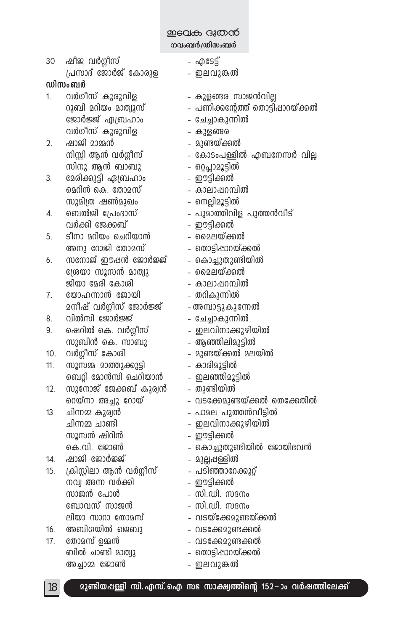**ZD€QI** G3©O **നവംബർ/ഡിസംബർ** 

30 joP h¿§okv ˛ FtS´v പ്രസാദ് ജോർജ് കോരുള $\qquad \qquad$  - ഇലവുങ്കൽ

### **വിസംബർ**

- 1. h¿Kokv Ipcp-hnf ˛ Ipf-ßc kmP≥hn√ tPm¿÷v G{\_lmw ˛ tN®m-Ip-∂n h¿Kokv Ipcp-hnf ˛ Ipf-ßc
- 2. jmPn amΩ≥ ˛ ap≠-bv°¬ സിനു ആൻ ബാബു ഒറ്റപ്ലാമൂട്ടിൽ
- 3. മേരിക്കുട്ടി ഏബ്രഹാം ഈട്ടിക്കൽ മെറിൻ കെ. തോമസ് കാലാഷറമ്പിൽ kpan{X j¨apJw ˛ s\√n-aq-´n¬
- 4. s\_¬Pn t{]wZmkv ˛ ]qam-Øn-hnf ]pØ≥hoSv h¿°n tP°\_v ˛ Cu´n-°¬
- 5. So\m adnbw sNdn-bm≥ ˛ ssae-bv°¬ അനു റോജി തോമസ് തൊട്ടിഷാറയ്ക്കൽ
- 6. സനോജ് ഈപ്പൻ ജോർജ്ജ് → കൊച്ചുതുണ്ടിയിൽ t{ibm kqk≥ amXyp ˛ ssae-bv°¬ Pnbm tacn tImin ˛ Imem-∏-d-ºn¬
- 7. യോഹന്നാൻ ജോയി − തറികുന്നിൽ a\ojv h¿§okv tPm¿÷v ˛A-ºm-´p-Ip-t∂¬
- 8. hn¬kn tPm¿÷v ˛ tN®m-Ip-∂n¬
- 9. sjdn¬ sI. h¿§okv ˛ Ce-hn-\m-°p-gn-bn¬ സുബിൻ കെ. സാബു ആഞ്ഞിലിമൂട്ടിൽ
- 10. h¿§okv tImin ˛ ap≠-bv°¬ ae-bn¬
- 11. kqkΩ amØp-°p´n ˛ Imcn-aq-´n s\_‰n tam≥kn sNdn-bm≥ ˛ Ce-™n-aq-´n¬
- 12. സുനോജ് ജേക്കബ് കുര്വൻ തുണ്ടിയിൽ വെയ്നാ അച്ചു റോയ് $\hspace{1.5cm}$  – വടക്കേ $\alpha$ ുണ്ടയ്ക്കൽ തെക്കേതിൽ
- 13. Nn∂Ω Ipcy≥ ˛ ]mae ]pØ≥ho-´n¬ Nn∂Ω Nm≠n ˛ Ce-hn-\m-°p-gn-bn kqk≥ jndn≥ ˛ Cu´n-°¬ കെ.വി. ജോൺ കൊച്ചുതുണ്ടിയിൽ ജോയിഭവൻ
- 14. jmPn tPm¿÷v ˛ ap√-∏-≈n¬
- 15. {InÃnem B≥ h¿§okv ˛ ]Sn-™m-td-°q‰v \hy A∂ h¿°n ˛ Cu´n-° kmP≥ t]mƒ ˛ kn.-Un. kZ\w t\_mhkv kmP≥ ˛ kn.-Un. kZ\w ലിയാ സാറാ തോമസ് വടയ്ക്കേമുണ്ടയ്ക്കൽ
- $16.$  അബിഗയിൽ ജെബു $-$ വടക്കേ $23$ ണ്ടക്കൽ
- 17. tXmakv DΩ≥ ˛ hS-t°-ap-≠-°¬ ബിൽ ചാണ്ടി മാത്വു $-$ െതാട്ടിഷാറയ്ക്കൽ A®mΩ tPm¨ ˛ Ce-hp-¶¬
- 
- 
- 
- $\alpha$  വിയം മാത്വൂസ് $\alpha$  പണിക്കന്റേത്ത് തൊട്ടിപ്പാറയ്ക്കൽ
	-
	-
	-
- $\overline{m}$ ിസ്സി ആൻ വർഗ്ഗീസ് $\overline{m}$  കോടംപള്ളിൽ എബനേസർ വില
	-
	-
	-
	-
	-
	-
	-
	-
	-
	-
	-
	-
	-
	-
	-
	-
	-
	-
	-

18 **ap≠n-b-∏≈n kn.-F-kv.sF k` km£y-Øns' 152-˛mw h¿j-Øn-te°v**

- 
- 
-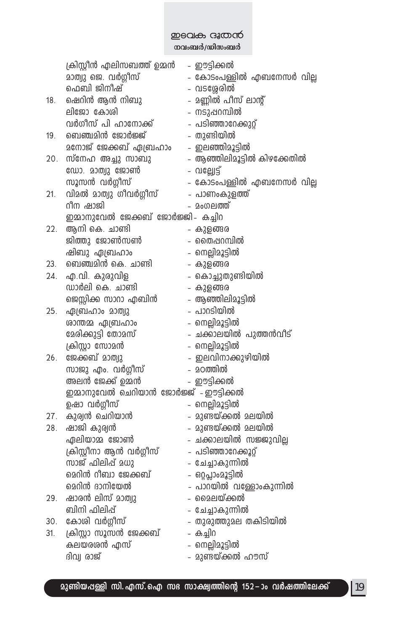#### теат скара

\_\_<br>നവംബർ/ഡിസംബർ

|     | ക്രിസ്റ്റീൻ എലിസബത്ത് ഉമ്മൻ            | - ഈട്ടിക്കൽ                 |
|-----|----------------------------------------|-----------------------------|
|     | മാത്വു ജെ. വർഗ്ഗീസ്                    | - കോടംപള്ളിൽ എബനേസർ വില്ല   |
|     | ഫെബി ജിനീഷ്                            | - വടശ്ശേരിൽ                 |
| 18. | ഷെറിൻ ആൻ നിബു                          | - മണ്ണിൽ പീസ് ലാന്റ്        |
|     | ലിജോ കോശി                              | - നടുഷറമ്പിൽ                |
|     | വർഗീസ് പി ഹാനോക്ക്                     | - പടിഞ്ഞാറേക്കുറ്റ്         |
| 19. | ബെഞ്ചമിൻ ജോർജ്ജ്                       | - തുണ്ടിയിൽ                 |
|     | <u> മനോജ് ജേക്കബ് ഏബ്രഹാം</u>          | - ഇലഞ്ഞിമൂട്ടിൽ             |
| 20. | സ്നേഹ അച്ചു സാബു                       | - ആഞ്ഞിലിമൂട്ടിൽ കിഴക്കേതിൽ |
|     | ഡോ. മാത്വു ജോൺ                         | - ഗല്ലേട്ട്                 |
|     | സൂസൻ വർഗ്ഗീസ്                          | - കോടംപള്ളിൽ എബനേസർ വില്ല   |
| 21. | വിമൽ മാത്വു ഗീവർഗ്ഗീസ്                 | - പാണംകുളത്ത്               |
|     | റീന ഷാജി                               | - മംഗലത്ത്                  |
|     | ഇമാനുവേൽ ജേക്കബ് ജോർജ്ജി- കച്ചിറ       |                             |
| 22. | ആനി കെ. ചാണ്ടി                         | - കുളങ്ങര                   |
|     | ജിത്തു ജോൺസൺ                           | - തൈഷറമ്പിൽ                 |
|     | ഷിബു ഏബ്രഹാം                           | - നെല്ലിമൂട്ടിൽ             |
| 23. | ബെഞ്ചമിൻ കെ. ചാണ്ടി                    | - കുളങ്ങര                   |
| 24. | എ.വി. കുരുവിള                          | - കൊച്ചുതുണ്ടിയിൽ           |
|     | ഡാർലി കെ. ചാണ്ടി                       | - കുളങ്ങര                   |
|     | ജെസ്സിക്ക സാറാ എബിൻ                    | - ആഞ്ഞിലിമൂട്ടിൽ            |
| 25. | ഏബ്രഹാം മാത്വു                         | - പാറടിയിൽ                  |
|     | ശാന്തമ്മ ഏബ്രഹാം                       | - നെല്ലിമൂട്ടിൽ             |
|     | മേരിക്കുട്ടി തോമസ്                     | - ചക്കാലയിൽ പുത്തൻവീട്      |
|     | ക്രിസ്റ്റാ സോമൻ                        | - നെല്ലിമൂട്ടിൽ             |
| 26. | ജേക്കബ് മാത്വു                         | - ഇലവിനാക്കുഴിയിൽ           |
|     | സാജു എം. വർഗ്ഗീസ്                      | - മഠത്തിൽ                   |
|     | അലൻ ജേക്ക് ഉമ്മൻ                       | - ഈട്ടിക്കൽ                 |
|     | ഇമ്മാനുവേൽ ചെറിയാൻ ജോർജ്ജ് - ഈട്ടിക്കൽ |                             |
|     | ഉഷാ വർഗ്ഗീസ്                           | - നെല്ലിമൂട്ടിൽ             |
| 27. | കുര്വൻ ചെറിയാൻ                         | - മുണ്ടയ്ക്കൽ മലയിൽ         |
| 28. | ഷാജി കുര്യൻ                            | - മുണ്ടയ്ക്കൽ മലയിൽ         |
|     | ഏലിയാമ്മ ജോൺ                           | - ചക്കാലയിൽ സജ്ജുവില്ല      |
|     | ക്രിസ്റ്റീനാ ആൻ വർഗ്ഗീസ്               | - പടിഞ്ഞാറേക്കൂറ്റ്         |
|     | സാജ് ഫിലിപ്പ് മധു                      | - ചേച്ചാകുന്നിൽ             |
|     | മെറിൻ റീബാ ജേക്കബ്                     | - ഒറ്റപ്ലാംമൂട്ടിൽ          |
|     | മെറിൻ ദാനിയേൽ                          | - പാറയിൽ വള്ളോംകുന്നിൽ      |
| 29. | ഷാരൻ ലിസ് മാത്വു                       | - മൈലയ്ക്കൽ                 |
|     | ബിനി ഫിലിപ്പ്                          | - ചേച്ചാകുന്നിൽ             |
| 30. | കോശി വർഗ്ഗീസ്                          | - തുരുത്തുമല തകിടിയിൽ       |
| 31. | ക്രിസ്റ്റാ സൂസൻ ജേക്കബ്                | – കച്ചിറ                    |
|     | കലയരശൻ എസ്                             | - നെല്ലിമൂട്ടിൽ             |
|     | ദിവ്വ രാജ്                             | - മുണ്ടയ്ക്കൽ ഹൗസ്          |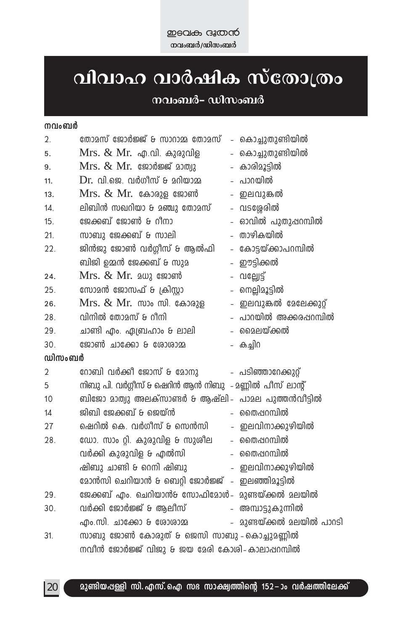### വിവാഹ വാർഷിക സ്തോത്രം നവംബർ– ഡിസംബർ

### നവംബർ

| 2.     | തോമസ് ജോർജ്ജ് & സാറാമ്മ തോമസ് - കൊച്ചുതുണ്ടിയിൽ                       |  |                           |  |
|--------|-----------------------------------------------------------------------|--|---------------------------|--|
| 5.     | $Mrs.$ $\&$ $Mr.$ $\phi$ $\Omega$ . $\phi$ $\phi$                     |  | - കൊച്ചുതുണ്ടിയിൽ         |  |
| 9.     |                                                                       |  | - കാരിമൂട്ടിൽ             |  |
| 11.    | $Dr.$ വി.ജെ. വർഗീസ് & മറിയാമ                                          |  | - പാറയിൽ                  |  |
| 13.    | $Mrs.$ $& Mr.$ കോരുള ജോൺ                                              |  | - ഇലവുങ്കൽ                |  |
| 14.    | ലിബിൻ സഖറിയാ & മഞ്ചു തോമസ്                                            |  | - വടശ്ശേരിൽ               |  |
| 15.    | ജേക്കബ് ജോൺ & റീനാ                                                    |  | - ഓവിൽ പുതുഷറമ്പിൽ        |  |
| 21.    | സാബു ജേക്കബ് & സാലി                                                   |  | - താഴികയിൽ                |  |
| 22.    | ജിൻജു ജോൺ വർഗ്ഗീസ് & ആൽഫി                                             |  | - കോട്ടയ്ക്കാപറമ്പിൽ      |  |
|        | ബിജി ഉമ്മൻ ജേക്കബ് & സുമ                                              |  | - ഈട്ടിക്കൽ               |  |
| 24.    | $Mrs.$ $& Mr.$ 2 $\omega$ 2 $\omega$ 2 $\omega$ 3 $\omega$ 3 $\omega$ |  | - បាទេីាខ្ល               |  |
| 25.    | സോമൻ ജോസഫ് & ക്രിസ്റ്റാ                                               |  | - നെല്ലിമൂട്ടിൽ           |  |
| 26.    | $Mrs.$ $\&$ $Mr.$ $mv_0$ $m$ $\&$ $\&$ $\&$ $\&$                      |  | - ഇലവുങ്കൽ മേലേക്കുറ്റ്   |  |
| 28.    | വിനിൽ തോമസ് & റീനി                                                    |  | – പാറയിൽ അക്കരപ്പറമ്പിൽ   |  |
| 29.    | ചാണ്ടി എം. ഏബ്രഹാം & ലാലി                                             |  | – മൈലയ്ക്കൽ               |  |
| 30.    | ജോൺ ചാക്കോ & ശോശാമ                                                    |  | – കച്ചിറ                  |  |
| ഡിസംബർ |                                                                       |  |                           |  |
| 2      | റോബി വർക്കി ജോസ് & മോനു                                               |  | - പടിഞ്ഞാറേക്കുറ്റ്       |  |
| 5      | നിബു പി. വർഗ്ഗീസ് & ഷെറിൻ ആൻ നിബു  - മണ്ണിൽ പീസ് ലാന്റ്               |  |                           |  |
| 10     | ബിജോ മാത്വു അലക്സാണ്ടർ & ആഷ്ലി– പാമല പുത്തൻവീട്ടിൽ                    |  |                           |  |
| 14     | ജിബി ജേക്കബ് & ജെയ്ൻ                                                  |  | – തൈഷറമ്പിൽ               |  |
| 27     | ഷെറിൽ കെ. വർഗീസ് & സെൻസി                                              |  | - ഇലവിനാക്കുഴിയിൽ         |  |
| 28.    | ഡോ. സാം റ്റി. കുരുവിള & സുശീല                                         |  | - തൈഷറമ്പിൽ               |  |
|        | വർക്കി കുരുവിള & എൽസി                                                 |  | – തൈഷറമ്പിൽ               |  |
|        | ഷിബു ചാണ്ടി & റെനി ഷിബു                                               |  | - ഇലവിനാക്കുഴിയിൽ         |  |
|        | മോൻസി ചെറിയാൻ & ബെറ്റി ജോർജ്ജ് - ഇലഞ്ഞിമൂട്ടിൽ                        |  |                           |  |
| 29.    | ജേക്കബ് എം. ചെറിയാൻ& സോഫിമോൾ– മുണ്ടയ്ക്കൽ മലയിൽ                       |  |                           |  |
| 30.    | വർക്കി ജോർജ്ജ് & ആലീസ്                                                |  | - അമ്പാട്ടുകുന്നിൽ        |  |
|        | എം.സി. ചാക്കോ & രോരാമ്മ                                               |  | - മുണ്ടയ്ക്കൽ മലയിൽ പാറടി |  |
| 31.    | സാബു ജോൺ കോരുത് & ജെസി സാബു - കൊച്ചുമണ്ണിൽ                            |  |                           |  |
|        | നവീൻ ജോർജ്ജ് വിജു & ജയ മേരി കോശി- കാലാഷറമ്പിൽ                         |  |                           |  |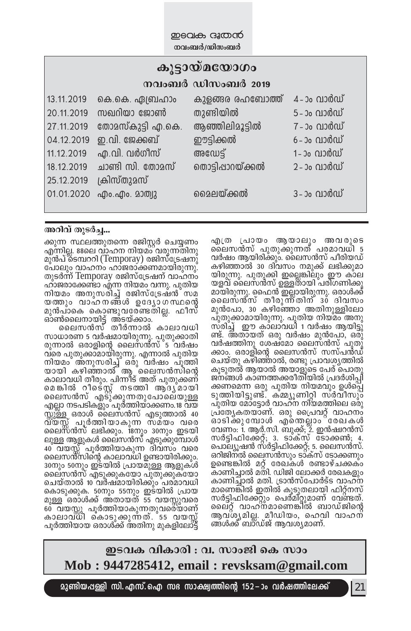| കൂട്ടായ്മയോഗം |                   |                   |              |  |  |  |
|---------------|-------------------|-------------------|--------------|--|--|--|
|               |                   | നവംബർ ഡിസംബർ 2019 |              |  |  |  |
| 13.11.2019    | കെ.കെ. ഏബ്രഹാം    | കുളങ്ങര രഹബോത്ത്  | 4 -ാം വാർഡ്  |  |  |  |
| 20.11.2019    | സഖറിയാ ജോൺ        | തുണ്ടിയിൽ         | 5 - ാം വാർഡ് |  |  |  |
| 27.11.2019    | തോമസ്കുട്ടി എ.കെ. | ആഞ്ഞിലിമൂട്ടിൽ    | 7 - ാം വാർഡ് |  |  |  |
| 04.12.2019    | ഇ.വി. ജേക്കബ്     | ഈട്ടിക്കൽ         | 6–ാം വാർഡ്   |  |  |  |
| 11.12.2019    | എ.വി. വർഗീസ്      | അഡേട്ട്           | 1–ാം വാർഡ്   |  |  |  |
| 18.12.2019    | ചാണ്ടി സി. തോമസ്  | തൊട്ടിപ്പാറയ്ക്കൽ | 2 -ാം വാർഡ്  |  |  |  |
| 25.12.2019    | ക്രിസ്തുമസ്       |                   |              |  |  |  |
| 01.01.2020    | എം.എം. മാത്വു     | മൈലയ്ക്കൽ         | 3-ാം വാർഡ്   |  |  |  |

അറിവ് തുടർച്ച...

എത്ര പ്രായം ആയാലും അവരുടെ ലൈസൻസ് പുതുക്കുന്നത് പരമാവധി 5 വർഷം ആയിരിക്കും. ലൈസൻസ് പീരിയഡ് കഴിഞ്ഞാൽ 30 ദിവസം നമുക്ക് ലഭിക്കുമാ യിരുന്നു. പുതുക്കി ഇല്ലെങ്കിലും ഈ കാല യളവ് ലൈസൻസ് ഉള്ളതായി പരിഗണിക്കു മായിരുന്നു. ഫൈൻ ഇല്ലായിരുന്നു. ഒരാൾക്ക് ലൈസ്ത്സ് തീരുന്ന്തിന് 30 ദിവസം മൂൻപോ, 30 കഴിഞ്ഞോ അതിനുള്ളിലോ പുതുക്കാമായിരുന്നു. പുതിയ നിയ്മം അനു സ്രിച്ച് ഈ കാ്ലാവധി 1 വർഷം ആയിട്ടു് ണ്ട്. അതായത് ഒരു വർഷം മുൻപോ, ഒരു് വർഷത്തിനു ശേഷ്മോ ലൈസ്ൻസ് പുതു് ക്കാം. ഒരാളിന്റെ ലൈസൻസ് സസ്പൻഡ് ചെയ്തു കഴിഞ്ഞാൽ, രണ്ടു പ്രാവശ്യത്തിൽ കൂടുതൽ ആയാൽ അയാളുടെ പേര് പൊതു ജനങ്ങൾ കാണത്തക്കരീതി്യിൽ <sub>(</sub>പദർശിപി °-W-sa∂ Hcp ]pXnb \nbahpw Dƒs∏- ്ക്ക്ക്ക്ക് ക്ഷേപ്പെടും പാട്ടുകളും<br>കൃത്തിയിട്ടുണ്ട്. കമ്മുുണിറി സർവീസും പ്ുതിയ മോ്ട്ടോർ വാഹ്ന നി്യമത്തിലെ ഒരു പ്രത്യേകതയാണ്. ഒരു പ്രൈവറ്റ് വാഹനം ഓടിക്കു മ്പോൾ എന്തെല്ലാം ്രേഖകൾ വേണം: ĭ. ആർ.സി. ബുക്ക്; ž. ഇൻഷ്വറൻസ് സർട്ടിഫിക്കേറ്റ്; 3. ടാക്സ് ഭടാക്കൺ; 4. പൊല്യൂഷൻ സരിട്ടിഫിക്കേറ്റ്; 5. ലൈസൻസ്. ഒറിജിനൽ ലൈസൻസും ടാ്ക്സ് ടോക്കണും ഉണ്ടെങ്കിൽ മറ് രേഖകൾ രണ്ടാഴ്ചക്കകം കാണിച്ചാൽ മതി. ഡിജി ലോക്കർ രേഖകളും കാണിച്ചാൽ മതി. ട്രാൻസ്പോർട്ട വാഹ്ന മാണെങ്കിൽ ഇതിൽ കുടുതലായി ഫിറ്റ്നസ് സർട്ടിഫിക്കേറ്റും പെർമിറ്റുമാണ് വേണ്ടത്. ലൈറ് വാഹ്നമാണെങ്കിൽ ബാഡ്ജിന്റെ ആവ്ശൃമില്ല. മീഡിയം, ഹെവി വാഹന് ങ്ങൾക്ക് ബാ്ഡ്ജ് ആവശ്യമാണ്.

ക്കുന്ന സ്ഥലത്തുതന്നെ രജിസ്റ്റർ ചെയ്യണം എന്നില. 88ലെ വാഹന നിയമ $\delta$ ്വരുന്നതിനു മു്ൻപ്`ടെമ്പററി (Temporay) രജിസ്ട്രേഷനു്<br>പോലും വാഹനം ഹാജരാക്കണമായിരുന്നു. തുടർന്ന് Temporay രജിസ്ട്രേഷന് വാഹനം ഹാജരാക്കേണ്ടാ എന്ന നിയമം വന്നു. പുതിയ നിയമം അനുസരിച്ച് രജിസ്ട്രേഷൻ**്**സമ യത്തും വാഹനങ്ങൾ ഉദ്യോഗസ്ഥന്റെ മുൻപ്ാകെ കൊണ്ടുവരേണ്ടതില്ല. ഫീസ് ്ത്രപ്രാര്ത്താര് കാര്ത്താര്.<br>പ്രതീരലെനായിട്ട് അടയ്ക്കാം.<br>പ്രതലസൻസ് തീർന്നാൽ കാലാവധി

സാധാരണ 5 വർഷമായിരുന്നു. പുതുക്കാതി രുന്നാൽ ഒരാളിന്റെ ലൈസൻസ്്ട**്വ**ർഷം വ്രെ പുതുക്കാമായിരുന്നു. എന്നാൽ പുതിയ ിനയമാ് അ്നുസരിച്ച് ഒരു വർഷം പൂത്തി bmbn Ign-™m¬ B ssek≥kns' ്കാലാവധി തീരും. പിന്നീട് അത് പുതുക്കണ് മെങ്കിൽ റീടെ്സൂ് നടത്തി ആര്ദൃ്മായി ലൈസൻസ് എട്ുക്കുന്നതുപോലെയുള്ള<br>എല്ലാ നടപടികളും പൂർത്തിയാക്കണം.18 വയ സ്സുള്ള ഒരാൾ ലൈസൻസ് എടുത്താൽ 40 വ്യസ്സ് പൂർത്തിയാകുന്ന സ്മ്യം വരെ ലൈസ്ൻസ് ലഭിക്കും. 18നും 30നും ഇടയി ലുള്ള ആളുകൾ ലൈസൻസ് എടുക്കുമ്പോൾ 40 വയസ്സ്് പൂർത്തിയാകുന്ന ദിവസ്ം വരെ ലൈസൻ്സിന്റെ കാലാവധി ഉണ്ടായിരിക്കും. 30നും 50നും ഇടയിൽ പ്രായമുള്ള ആളുകൾ ലൈ്സൻസ് എടുക്കുകയോ പുതുക്കുകയോ ചെയ്താൽ 10 വർഷമായിരിക്കും പര്മാവധി കൊടുക്കുക. 50നും 55നും ഇടയിൽ പ്രായ ്.....<br>മുള്ള**്ഒരാ**ൾക്ക് അ്തായത് 55 വയസ്സുവരെ 60 വയസ്സൂ പൂർത്തിയാകുന്നതുവരെ്യ്ാണ് കാലാവ്ധ്ി കൊടുക്കുന്നത്. 55 വയസ്സ് പൂർത്തിയായ ഒരാൾക്ക് അതിനു മുകളിലോ്ട്ട്

> <u>ഇടവക വികാരി : വ. സാംജി കെ സാം</u> **Mob : 9447285412, email : revsksam@gmail.com**

 $\bm{2}$ ുണ്ടിയഷള്ളി സി. എസ്. ഐ സഭ സാക്ഷ്വത്തിന്റെ 152−ാം വർഷത്തിലേക്ക്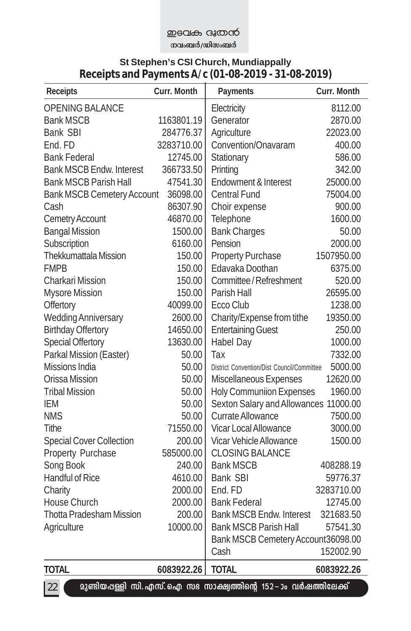### **means** agriced നവംബർ/ഡിസംബർ

### **St Stephen's CSI Church, Mundiappally Receipts and Payments A/c (01-08-2019 - 31-08-2019)**

| <b>Receipts</b>                   | Curr. Month | Payments                                                           | <b>Curr. Month</b> |
|-----------------------------------|-------------|--------------------------------------------------------------------|--------------------|
| OPENING BALANCE                   |             | Electricity                                                        | 8112.00            |
| <b>Bank MSCB</b>                  | 1163801.19  | Generator                                                          | 2870.00            |
| <b>Bank SBI</b>                   | 284776.37   | Agriculture                                                        | 22023.00           |
| End. FD                           | 3283710.00  | Convention/Onavaram                                                | 400.00             |
| <b>Bank Federal</b>               | 12745.00    | Stationary                                                         | 586.00             |
| <b>Bank MSCB Endw. Interest</b>   | 366733.50   | Printing                                                           | 342.00             |
| <b>Bank MSCB Parish Hall</b>      | 47541.30    | Endowment & Interest                                               | 25000.00           |
| <b>Bank MSCB Cemetery Account</b> | 36098.00    | <b>Central Fund</b>                                                | 75004.00           |
| Cash                              | 86307.90    | Choir expense                                                      | 900.00             |
| Cemetry Account                   | 46870.00    | Telephone                                                          | 1600.00            |
| <b>Bangal Mission</b>             | 1500.00     | <b>Bank Charges</b>                                                | 50.00              |
| Subscription                      | 6160.00     | Pension                                                            | 2000.00            |
| Thekkumattala Mission             | 150.00      | <b>Property Purchase</b>                                           | 1507950.00         |
| <b>FMPB</b>                       | 150.00      | Edavaka Doothan                                                    | 6375.00            |
| Charkari Mission                  | 150.00      | Committee / Refreshment                                            | 520.00             |
| <b>Mysore Mission</b>             | 150.00      | Parish Hall                                                        | 26595.00           |
| Offertory                         | 40099.00    | Ecco Club                                                          | 1238.00            |
| <b>Wedding Anniversary</b>        | 2600.00     | Charity/Expense from tithe                                         | 19350.00           |
| <b>Birthday Offertory</b>         | 14650.00    | <b>Entertaining Guest</b>                                          | 250.00             |
| <b>Special Offertory</b>          | 13630.00    | Habel Day                                                          | 1000.00            |
| Parkal Mission (Easter)           | 50.00       | Tax                                                                | 7332.00            |
| <b>Missions India</b>             | 50.00       | District Convention/Dist Council/Committee                         | 5000.00            |
| Orissa Mission                    | 50.00       | Miscellaneous Expenses                                             | 12620.00           |
| <b>Tribal Mission</b>             | 50.00       | <b>Holy Communiion Expenses</b>                                    | 1960.00            |
| IEM                               | 50.00       | Sexton Salary and Allowances 11000.00                              |                    |
| <b>NMS</b>                        | 50.00       | Currate Allowance                                                  | 7500.00            |
| Tithe                             | 71550.00    | <b>Vicar Local Allowance</b>                                       | 3000.00            |
| <b>Special Cover Collection</b>   | 200.00      | Vicar Vehicle Allowance                                            | 1500.00            |
| Property Purchase                 | 585000.00   | <b>CLOSING BALANCE</b>                                             |                    |
| Song Book                         | 240.00      | <b>Bank MSCB</b>                                                   | 408288.19          |
| Handful of Rice                   | 4610.00     | Bank SBI                                                           | 59776.37           |
| Charity                           | 2000.00     | End. FD                                                            | 3283710.00         |
| House Church                      | 2000.00     | <b>Bank Federal</b>                                                | 12745.00           |
| <b>Thotta Pradesham Mission</b>   | 200.00      | <b>Bank MSCB Endw. Interest</b>                                    | 321683.50          |
| Agriculture                       | 10000.00    | <b>Bank MSCB Parish Hall</b>                                       | 57541.30           |
|                                   |             | Bank MSCB Cemetery Account36098.00                                 |                    |
|                                   |             | Cash                                                               | 152002.90          |
| <b>TOTAL</b>                      | 6083922.26  | <b>TOTAL</b>                                                       | 6083922.26         |
| 22                                |             | മുണ്ടിയപ്പള്ളി സി. എസ്. ഐ സഭ സാക്ഷ്വത്തിന്റെ 152 –ാം വർഷത്തിലേക്ക് |                    |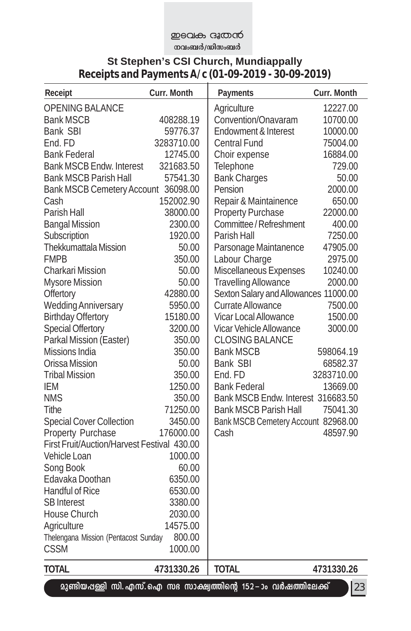### **P**BOL<del>O</del> G30000

<del>\_</del><br>തവംബർ/ഡിസംബർ

### **St Stephen's CSI Church, Mundiappally Receipts and Payments A/c (01-09-2019 - 30-09-2019)**

| Receipt                                     | Curr. Month | Payments                                                           | Curr. Month |
|---------------------------------------------|-------------|--------------------------------------------------------------------|-------------|
| <b>OPENING BALANCE</b>                      |             | Agriculture                                                        | 12227.00    |
| <b>Bank MSCB</b>                            | 408288.19   | Convention/Onavaram                                                | 10700.00    |
| Bank SBI                                    | 59776.37    | Endowment & Interest                                               | 10000.00    |
| End. FD                                     | 3283710.00  | <b>Central Fund</b>                                                | 75004.00    |
| <b>Bank Federal</b>                         | 12745.00    | Choir expense                                                      | 16884.00    |
| <b>Bank MSCB Endw. Interest</b>             | 321683.50   | Telephone                                                          | 729.00      |
| <b>Bank MSCB Parish Hall</b>                | 57541.30    | <b>Bank Charges</b>                                                | 50.00       |
| Bank MSCB Cemetery Account 36098.00         |             | Pension                                                            | 2000.00     |
| Cash                                        | 152002.90   | Repair & Maintainence                                              | 650.00      |
| Parish Hall                                 | 38000.00    | <b>Property Purchase</b>                                           | 22000.00    |
| <b>Bangal Mission</b>                       | 2300.00     | Committee / Refreshment                                            | 400.00      |
| Subscription                                | 1920.00     | Parish Hall                                                        | 7250.00     |
| Thekkumattala Mission                       | 50.00       | Parsonage Maintanence                                              | 47905.00    |
| <b>FMPB</b>                                 | 350.00      | Labour Charge                                                      | 2975.00     |
| <b>Charkari Mission</b>                     | 50.00       | Miscellaneous Expenses                                             | 10240.00    |
| <b>Mysore Mission</b>                       | 50.00       | <b>Travelling Allowance</b>                                        | 2000.00     |
| Offertory                                   | 42880.00    | Sexton Salary and Allowances 11000.00                              |             |
| <b>Wedding Anniversary</b>                  | 5950.00     | Currate Allowance                                                  | 7500.00     |
| <b>Birthday Offertory</b>                   | 15180.00    | Vicar Local Allowance                                              | 1500.00     |
| <b>Special Offertory</b>                    | 3200.00     | Vicar Vehicle Allowance                                            | 3000.00     |
| Parkal Mission (Easter)                     | 350.00      | CLOSING BALANCE                                                    |             |
| Missions India                              | 350.00      | <b>Bank MSCB</b>                                                   | 598064.19   |
| Orissa Mission                              | 50.00       | Bank SBI                                                           | 68582.37    |
| <b>Tribal Mission</b>                       | 350.00      | End. FD                                                            | 3283710.00  |
| IEM                                         | 1250.00     | <b>Bank Federal</b>                                                | 13669.00    |
| <b>NMS</b>                                  | 350.00      | Bank MSCB Endw. Interest 316683.50                                 |             |
| <b>Tithe</b>                                | 71250.00    | <b>Bank MSCB Parish Hall</b>                                       | 75041.30    |
| <b>Special Cover Collection</b>             | 3450.00     | Bank MSCB Cemetery Account 82968.00                                |             |
| Property Purchase                           | 176000.00   | Cash                                                               | 48597.90    |
| First Fruit/Auction/Harvest Festival 430.00 |             |                                                                    |             |
| Vehicle Loan                                | 1000.00     |                                                                    |             |
| Song Book                                   | 60.00       |                                                                    |             |
| Edavaka Doothan                             | 6350.00     |                                                                    |             |
| <b>Handful of Rice</b>                      | 6530.00     |                                                                    |             |
| <b>SB</b> Interest                          | 3380.00     |                                                                    |             |
| House Church                                | 2030.00     |                                                                    |             |
| Agriculture                                 | 14575.00    |                                                                    |             |
| Thelengana Mission (Pentacost Sunday        | 800.00      |                                                                    |             |
| <b>CSSM</b>                                 | 1000.00     |                                                                    |             |
| <b>TOTAL</b>                                | 4731330.26  | <b>TOTAL</b>                                                       | 4731330.26  |
|                                             |             | മുണ്ടിയപ്പള്ളി സി. എസ്. ഐ സഭ സാക്ഷ്വത്തിന്റെ 152 –ാം വർഷത്തിലേക്ക് | 23          |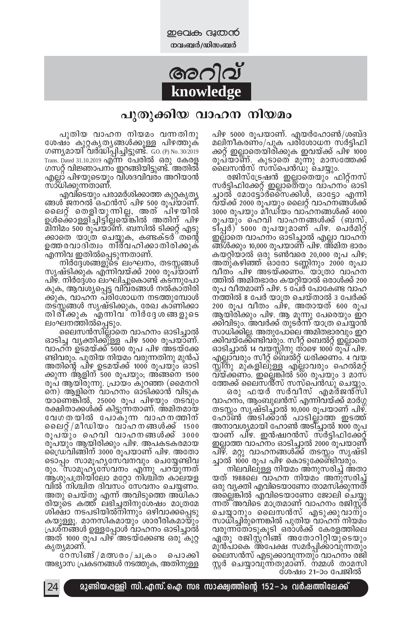<u>meales ദൂതൻ</u> **നവംബർ/ഡിസംബർ** 

# **അ**റിവ് **knowledge**

### പുതുക്കിയ വാഹന നിയമം

പിഴ 5000 രൂപയാണ്. എയർഹോൺ/ശബ്ദ മലിനീകരണം/പുക പരിശോധന സർട്ടിഫി ക്കറ്റ് ഇല്ലാതെയിരിക്കുക ഇവയ്ക്ക് പിഴ 1000 രൂപ്യാണ്. കൂടാതെ മൂന്നു മാസത്തേക്ക്

ലൈസൻസ് സസ്പെൻഡു ചെയ്യും.<br>© തജിസ്ട്രേഷൻ ഇല്ലാതെയും ഫിറ്റ്നസ്<br>സർട്ടിഫിക്കേറ്റ് ഇല്ലാതെയും വാഹനം ഓടി ച്ചാൽ മോട്ടോ്ർസൈക്കിൾ, ഓട്ടോ എന്നി വയ്ക്ക് 2000 രുപയും ലൈറ്റ് വാഹനങ്ങൾക്ക് 3000 രൂപയും മീഡിയം വാഹനങ്ങൾക്ക് 4000 രൂപയും ഹെവി വാഹനങ്ങൾക്ക് (ബസ്, ടിപ്പർ) 5000 രൂപയുമാണ് പിഴ. പെർമിറ്റ് ഇല്ലാതെ വാഹനം ഓടിച്ചാൽ എല്ലാ വാഹന് ങ്ങ്ൾക്കും 10,000 രൂപയാണ് പിഴ. അ്മിത ഭാരം കയറിയാൽ ഒരു ടൺവരെ 20,000 രൂപ പിഴ $;$ അതുകഴിഞ്ഞ് ഓരോ ടണ്ണിനും 2000 രൂപാ വീത്ം പിഴ അടയ്ക്കണം.''′യാ്ത്രാ വാഹന ത്തിൽ അമിതഭാരം കയറ്റിയാൽ ഒരാൾക്ക് 200 രൂപ വീതമാണ് പിഴ. 5 പേർ പോകേണ്ട വാഹ .നത്തിൽ 8 പേർ യാത്ര ചെയ്താൽ 3 പേർക്ക് 200 രൂപ വീതം പിഴ, അതായത് 600 രൂപ ആയിരിക്കും പിഴ. ആ മൂന്നു പേരെയും ഇറ ക്കിവിടും. അവർക്ക് തുടർന്ന് യാത്ര ചെയ്യാൻ സാധിക്കില്ല. അതുപോലെ അമിതഭാരവും ഇറ ക്കിവയ്ക്കേ്ണ്ടിവരും. സീറ്റ് ബെൽറ്റ് ഇല്ലാതെ ഓടിച്ചാൽ 14 വയസ്സിനു ത്ാഴെ 1000 രൂപ് പിഴ. എല്ലാ്വരും സീറ്റ് ബെൽറ്റ് ധരിക്കണം. 4 വയ സ്സി്നു മുകളില്ുള്ള എ്ല്ലാവരും ഹെൽമറ്റ് <u>വ്</u>യ്ക്കണം. ഇല്ലെങ്കിൽ 500 രൂപ്യും 3 മാസ്

ത്തേക്ക് ലൈസൻ്സ് സസ്പെ്ൻഡ്ു ചെയ്യും.<br>© ഒരു ഫയർ സർവീസ് എമർജൻസി<br>വാഹനം, ആംബുലൻസ് എന്നിവയ്ക്ക് മാർഗ്ഗ തടസ്സം സൃഷ്ടിച്ചാൽ 10,000 രൂപയാണ് പിഴ്. ഹോ്ൺ അടിക്കാൻ പാടില്ലാത്ത ഇടത്ത് അനാവശ്യമായി ഹോൺ അടി്ച്ചാൽ 1000 രൂപ യാണ് പിഴ. ഇൻഷ്വറൻസ് സർട്ടിഫിക്കേറ്റ് ഇല്ലാത്ത വാഹനം ഓടിച്ചാൽ 2000 രൂപയാണ് പിഴ്. മറ്റു വാഹനങ്ങൾക്ക് തടസ്സം സൃഷ്ടി

ച്ചാൽ 1000 രൂപ പിഴ കൊടുക്കേണ്ടിവരും.<br>∞ നിലവിലുള്ള നിയമം അനുസരിച്ച് അതാ<br>യത് 1988ലെ വാഹന നിയമം അനുസരിച്ച് ഒരു വൃക്തി എവിടെയാണോ താമസിക്കുന്നത് അ്ലെങ്കിൽ എവിടെയാണോ ജോലി ചെയ്യു ന്നത്്അവിടെ മാത്രമാണ് വാഹനം രജിസ്റ്റ് ചെയ്യാനും ലൈസൻസ് എടുക്കുവാന്ും സാധിച്ചിരുന്നെങ്കിൽ പുതിയ വാഹന നിയമം വരുന്നതോ്ടുകൂടി ദരാൾക്ക് കേരളത്തിലെ ഏതു രജിസ്റ്റിങ്ങ് അതോറിറ്റിയുടെയും മുൻപാകെ അ്പേക്ഷ സമർപ്പിക്കാവുന്നതും ലൈസൻസ് എടുക്കാവുന്നതു്ഠ വാഹനം രജി സ്റ്റർ ചെയ്യാവുന്നതുമാണ്. നമ്മൾ താമസി

്ശ്രഷം 21-ാം പേജിൽ

്പുതിയ വാഹന നിയമം വന്നതിനു<br>ഭശഷം കുറ്റകൃതൃങ്ങൾക്കുള്ള പിഴത്തുക ഗണ്യമായി് വർദ്ധിപ്പിച്ചിട്ടുണ്ട്. GO. (P) No. 30/2019 Trans. Dated 31.10.2019 എ്ന്ന് പേരിൽ ഒരു കേരള<br>ഗസറ്റ് വിജ്ഞാപനം ഇറങ്ങിയിട്ടുണ്ട്. അതിൽ <sup>.</sup>എല്ല്ാ് പിഴയുടെയും വിശദവിവരം അറിയാൻ

സാ്ധിക്കുന്നതാണ്.<br>` എവിടെയും പരാമർശിക്കാത്ത കുറ്റകൃതൃ<br>ങ്ങൾ ജനറൽ ഒഫൻസ് പിഴ 500 രൂപയാണ്. ചൈറ്റ് തെളിയുന്നില്ല, അത് പിഴയിൽ ഉൾക്കൊള്ളിച്ചിട്ടില്ലയെ്ങ്കിൽ അതിന് പിഴ മിനിമം 500 രൂപയാണ്. ബസിൽ ടിക്കറ്റ് എടു ക്കാതെ യാത്ര ചെയ്യുക, കണ്ടക്ടർ്്തന്റെ ഉത്തരവാദിത്വം നിർവഹിക്കാതിരിക്കുക്

എന്നിവ ഇതിൽപ്പെടുന്നതാണ്.<br>− നിർദ്ദേശങ്ങളുടെ ലംഘനം, തടസ്സങ്ങൾ<br>സൃഷ്ടിക്കുക എന്നിവയ്ക്ക് 2000 രൂപയാണ് <sub>.</sub>പിഴ്. നിർദ്ദേശം ലംഘിച്ചുകൊണ്ട് കടന്നുപോ കുക, ആവശൃപ്പെട്ട<sub>,</sub> വിവരങ്ങൾ നൽകാ്തിരി ക്കുക, വാഹന പരിശോധന നടത്തുമ്പോൾ തട്സ്സങ്ങൾ സൃഷ്ടിക്കുക<sub>,</sub> രേഖ കാണിക്കാ തിര്ിക്കുക എന്നിവ നിർദ്ദേശങ്ങളുടെ

ലംഘനത്തിൽപ്പെടും.<br>™ൈനെൻസില്ലാതെ വാഹനം ഓടിച്ചാൽ ഓടിച്ച വ്യക്തിക്കുള്ള പിഴ 5000 രൂപയാണ്.<br>വാഹന ഉടമയ്ക്ക് 5000 രൂപ പിഴ അടയ്ക്കേ ണ്ടിവരും. പുതിയ നിയമം വരുന്നതിനു മുൻപ് അതിന്റെ പിഴ ഉടമയ്ക്ക് 1000 രൂപയും ഓടി ക്കുന്ന ആളിന് $\overline{\phantom{a}}$ 500 രൂപയും; അങ്ങനെ 1500 രുപ ആയിരുന്നു. പ്രായം കുറഞ്ഞ (മൈനറി  $\sin$ ) ആളിനെ വാഹനം ഓ്ടിക്കാൻ വിടുക യാണെങ്കിൽ, 25000 രൂപ പിഴയും തടവും രക്ഷിതാക്കൾക്ക് കിട്ടുന്നതാണ്. അമിതമായ വേഗതയിൽ പോകുന്ന വാഹനത്തിന് ചൈറ്റ്/മീഡിയം വാഹനങ്ങൾക്ക് 1500 രുപയും ഹെവി വാഹനങ്ങൾക്ക്  $3000$ രുപയും ആയിരിക്കും പിഴ. അപകടകരമായ .ൈഡ്വിങ്ങിന് 3000 രൂപയാണ് പിഴ. അതോ sൊപ്പം സാമൂഹൃസേവനവും ചെയ്യേണ്ടിവ രും. "സാമൂഹുസേവനം എ്നു പറയുന്നത് ആശുപത്രിയിലോ മറ്റോ നിശ്ചീത കാലയള  $\,$ വിൽ $\,$ ്നിശ്ചിത $\,$  ദിവസം $\,$ ് സേവനം ചെയ്യണം. അതു ചെയ്തു എന്ന് അവിടുത്തെ അ്ധികാ രിയുടെ കത്ത് ലഭിച്ചതിനുശേഷം മാത്രമേ ശിക്ഷാ നടപടിയിൽ്നിന്നു**ം ഒഴിവാക്കപ്പെടു** കയുള്ളു. മാനസികമായും ശാരീരികമായും ്പ്രശ്നങ്ങൾ ഉള്ളപ്പോൾ വാഹനം ഓടിച്ചാൽ അത് 1000 രൂപ പിഴ് അടയ്ക്കേണ്ട ഒരു കുറ്റ

കൃത്യമാണ്.<br>© സിങ്ങ് /മത്സരം / ചക്രം പൊക്കി അഭ്യാസ പ്രകടനങ്ങൾ നടത്തുക, അതിനുള്ള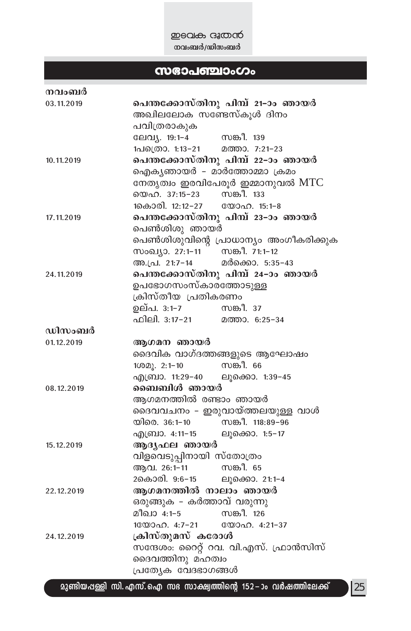**P**BOL<del>O</del> G&COCO **നവംബർ/**ഡിസംബർ

# k`m-]-©mwKw

| നവംബർ      |                                                                             |  |  |
|------------|-----------------------------------------------------------------------------|--|--|
| 03.11.2019 | പെന്തക്കോസ്തിനു പിമ്പ് 21–ാം ഞായർ<br>അഖിലലോക സണ്ടേസ്കൂൾ ദിനം                |  |  |
|            |                                                                             |  |  |
|            | പവിത്രരാകുക                                                                 |  |  |
|            | ലേവ്യ. 19:1-4<br>സങ്കീ. 139                                                 |  |  |
|            | ലേവ്യ. 19:1–4           സങ്കീ. 139<br>1പത്രൊ. 1:13–21        മത്താ. 7:21–23 |  |  |
| 10.11.2019 | പെന്തക്കോസ്തിനു പിമ്പ് 22–ാം ഞായർ                                           |  |  |
|            | ഐക്യഞായർ - മാർത്തോമ്മാ ക്രമം                                                |  |  |
|            | നേതൃത്വം ഇരവിപേരൂർ ഇമ്മാനുവൽ $\operatorname{MTC}$                           |  |  |
|            | യെഹ. 37:15–23 സങ്കീ. 133                                                    |  |  |
|            | 1കൊരി. 12:12-27 യോഹ. 15:1-8                                                 |  |  |
| 17.11.2019 | പെന്തക്കോസ്തിനു പിമ്പ് 23–ാം ഞായർ                                           |  |  |
|            | പെൺശിശു ഞായർ<br>പെൺശിശുവിന്റെ പ്രാധാന്യം അംഗീകരിക്കുക                       |  |  |
|            |                                                                             |  |  |
|            | സംഖ്യാ. 27:1-11 സങ്കീ. 71:1-12                                              |  |  |
|            | അ.പ്ര. 21:7-14 മർക്കൊ. 5:35-43                                              |  |  |
| 24.11.2019 | പെന്തക്കോസ്തിനു പിമ്പ് 24–ാം ഞായർ                                           |  |  |
|            | ഉപഭോഗസംസ്കാരത്തോടുള്ള                                                       |  |  |
|            | ക്രിസ്തീയ പ്രതികരണം                                                         |  |  |
|            | ഉല്പ. 3:1–7             സങ്കീ. 37<br>ഫിലി. 3:17–21          മത്താ. 6:25–34  |  |  |
|            |                                                                             |  |  |
| ഡിസംബർ     |                                                                             |  |  |
| 01.12.2019 | ആഗമന ഞായർ                                                                   |  |  |
|            | ദൈവിക വാഗ്ദത്തങ്ങളുടെ ആഘോഷം                                                 |  |  |
|            | സങ്കീ. 66<br>$1000$ . $2:1-10$                                              |  |  |
|            | എബ്രാ. 11:29-40 ലൂക്കൊ. 1:39-45                                             |  |  |
| 08.12.2019 | ബൈബിൾ ഞായർ                                                                  |  |  |
|            | ആഗമനത്തിൽ രണ്ടാം ഞായർ                                                       |  |  |
|            | ദൈവവചനം - ഇരുവായ്ത്തലയുള്ള വാൾ                                              |  |  |
|            | സങ്കീ. 118:89–96<br>യിരെ. 36:1–10                                           |  |  |
|            | എബ്രാ. 4:11–15<br>ലൂക്കൊ. 1:5-17                                            |  |  |
| 15.12.2019 | ആദൃഫല ഞായർ                                                                  |  |  |
|            | വിളവെടുപ്പിനായി സ്തോത്രം                                                    |  |  |
|            | ആവ. 26:1-11<br>സങ്കീ. 65                                                    |  |  |
|            | 2കൊരി. 9:6–15 ലൂക്കൊ. 21:1–4                                                |  |  |
| 22.12.2019 | ആഗമനത്തിൽ നാലാം ഞായർ                                                        |  |  |
|            | ഒരുങ്ങുക – കർത്താവ് വരുന്നു                                                 |  |  |
|            | സങ്കീ. 126<br>മീഖാ 4:1–5                                                    |  |  |
|            | 16000a0. 4:7-21 6000a0. 4:21-37                                             |  |  |
| 24.12.2019 | ക്രിസ്തുമസ് കരോൾ                                                            |  |  |
|            | സന്ദേശം: റൈറ്റ് റവ. വി.എസ്. ഫ്രാൻസിസ്                                       |  |  |
|            | ദൈവത്തിനു മഹത്വം                                                            |  |  |
|            | പ്രത്യേക വേദഭാഗങ്ങൾ                                                         |  |  |

്മുണ്ടിയഷള്ളി സി. എസ്. ഐ സഭ സാക്ഷ്വത്തിന്റെ 152−ാം വർഷത്തിലേക്ക്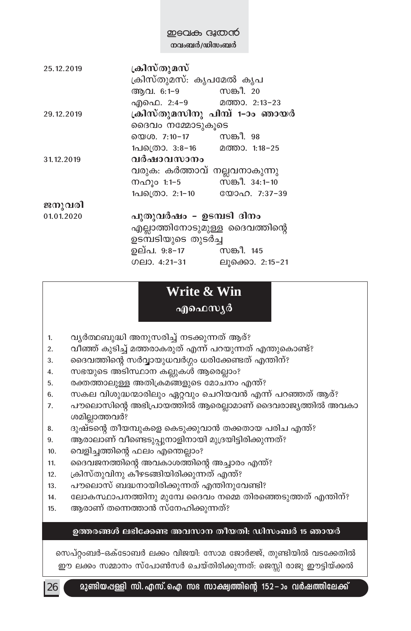| 25.12.2019 | ക്രിസ്തുമസ്<br>ക്രിസ്തുമസ്: കൃപമേൽ കൃപ |                 |  |
|------------|----------------------------------------|-----------------|--|
|            | ആവ. 6:1-9 സങ്കീ. 20                    |                 |  |
|            | എഫെ. 2:4-9 മത്താ. 2:13-23              |                 |  |
| 29.12.2019 | ക്രിസ്തുമസിനു പിമ്പ് 1-ാം ഞായർ         |                 |  |
|            | ദൈവം നമ്മോടുകുടെ                       |                 |  |
|            | യെശ. 7:10–17 സങ്കീ. 98                 |                 |  |
|            | 1പ്രെ 3:8-16 മത്താ. 1:18-25            |                 |  |
| 31.12.2019 | വർഷാവസാനം                              |                 |  |
|            | വരുക: കർത്താവ് നല്ലവനാകുന്നു           |                 |  |
|            | നഹൂം 1:1-5                             | സങ്കീ. 34:1-10  |  |
|            | 1പത്രൊ. 2:1-10 യോഹ. 7:37-39            |                 |  |
| ജനുവരി     |                                        |                 |  |
| 01.01.2020 | പുതുവർഷം - ഉടമ്പടി ദിനം                |                 |  |
|            | എല്ലാത്തിനോടുമുള്ള ദൈവത്തിന്റെ         |                 |  |
|            | ഉടമ്പടിയുടെ തുടർച്ച                    |                 |  |
|            | ഉല്പ. 9:8–17           സങ്കീ. 145      |                 |  |
|            | ഗലാ. $4:21-31$                         | ലുക്കൊ. 2:15-21 |  |
|            |                                        |                 |  |

### **Write & Win** എഫെസ്യർ

- 1. പൃർത്ഥബുദ്ധി അനുസരിച്ച് നടക്കുന്നത് ആര്?
- 2. വീഞ്ഞ് കുടിച്ച് മത്തരാകരുത് എന്ന് പറയുന്നത് എന്തുകൊണ്ട്?
- 3. ടെവെത്തിന്റെ സർവ്വായുധവർഗ്ഗം ധരിക്കേണ്ടത് എന്തിന്?
- 4. സഭയുടെ അടിസ്ഥാന കല്ലുകൾ ആരെല്ലാം?
- 5. രക്തത്താലുള്ള അതിക്രമങ്ങളുടെ മോചനം എന്ത്?
- 6. സകല വിശുദ്ധന്മാരിലും ഏറ്റവും ചെറിയവൻ എന്ന് പറഞ്ഞത് ആര്?
- 7. പൗലൊസിന്റെ അഭിപ്രായത്തിൽ ആരെല്ലാമാണ് ദൈവരാജ്യത്തിൽ അവകാ ശമില്ലാത്തവർ?
- 8. ദുഷ്ടന്റെ തീയമ്പുകളെ കെടുക്കുവാൻ തക്കതായ പരിച എന്ത്?
- 9. ആരാലാണ് വീണ്ടെടുപ്പുനാളിനായി മുദ്രയിട്ടിരിക്കുന്നത്?
- 10. വെളിച്ചത്തിന്റെ ഫലം എന്തെല്ലാം?
- 11. ടെെവജനത്തിന്റെ അവകാശത്തിന്റെ അച്ചാരം എന്ത്?
- 12. ുകിസ്തുവിനു കീഴടങ്ങിയിരിക്കുന്നത് എന്ത്?
- 13. പൗലൊസ് ബദ്ധനായിരിക്കുന്നത് എന്തിനുവേണ്ടി?
- 14. ഭലാകസ്ഥാപനത്തിനു മുമ്പേ ദൈവം നമ്മെ തിരഞ്ഞെടുത്തത് എന്തിന്?
- 15. ആരാണ് തന്നെത്താൻ സ്നേഹിക്കുന്നത്?

#### ഉത്തരങ്ങൾ ലഭിക്കേണ്ട അവസാന തീയതി: ഡിസംബർ 15 ഞായ**ർ**

സെപ്റ്റംബർ-ഒക്ടോബർ ലക്കം വിജയി: സോമ ജോർജ്ജ്, തുണ്ടിയിൽ വടക്കേതിൽ ഈ ലക്കം സമ്മാനം സ്പോൺസർ ചെയ്തിരിക്കുന്നത്: ജെസ്സി രാജു ഈട്ടിയ്ക്കൽ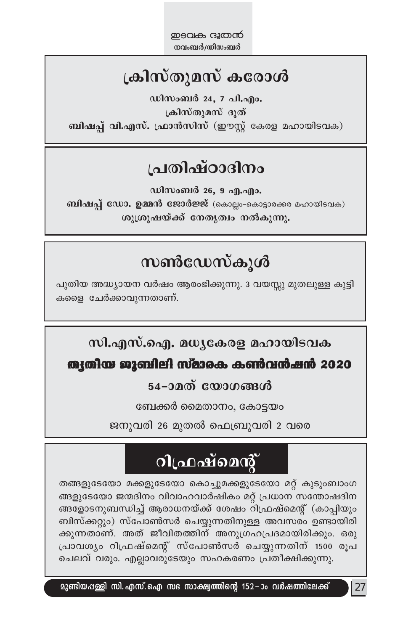# ക്രിസ്തുമസ് കരോൾ

ഡിസംബർ 24, 7 പി.എം. ക്രിസ്തുമസ് ദൂത് ബിഷപ്പ് വി.എസ്. ഫ്രാൻസിസ് (ഈസ്റ്റ് കേരള മഹായിടവക)

### പ്രതിഷ്ഠാദിനം

ഡിസംബർ 26, 9 എ.എം. ബിഷപ്പ് ഡോ. ഉമ്മൻ ജോർജ്ജ് (കൊല്ലം-കൊട്ടാരക്കര മഹായിടവക) ശുശ്രൂഷയ്ക്ക് നേതൃത്വം നൽകുന്നു.

## സൺഡേസ്കൂൾ

പുതിയ അദ്ധ്യായന വർഷം ആരംഭിക്കുന്നു. 3 വയസ്സു മുതലുള്ള കുട്ടി കളൈ ചേർക്കാവുന്നതാണ്.

### സി.എസ്.ഐ. മധൃകേരള മഹായിടവക

### ത്യതിയ ജൂബിലി സ്മാരക കൺവൻഷൻ 2020

### 54-ാമത് യോഗങ്ങൾ

ബേക്കർ മൈതാനം, കോട്ടയം

ജനുവരി 26 മുതൽ ഫെബ്രുവരി 2 വരെ

# **ിഫ്രഷ്മെന്റ്**

തങ്ങളുടേയോ മക്കളുടേയോ കൊച്ചുമക്കളുടേയോ മറ്റ് കുടുംബാംഗ ങ്ങളുടേയോ ജന്മദിനം വിവാഹവാർഷികം മറ്റ് പ്രധാന സന്തോഷദിന ങ്ങളോടനുബന്ധിച്ച് ആരാധനയ്ക്ക് ശേഷം റിഫ്രഷ്മെന്റ് (കാപ്പിയും ബിസ്ക്കറ്റും) സ്പോൺസർ ചെയ്യുന്നതിനുള്ള അവസരം ഉണ്ടായിരി ക്കുന്നതാണ്. അത് ജീവിതത്തിന് അനുഗ്രഹപ്രദമായിരിക്കും. ഒരു പ്രാവശ്യം റിഫ്രഷ്മെന്റ് സ്പോൺസർ ചെയ്യുന്നതിന് 1500 രൂപ ചെലവ് വരും. എല്ലാവരുടേയും സഹകരണം പ്രതീക്ഷിക്കുന്നു.

 $|27$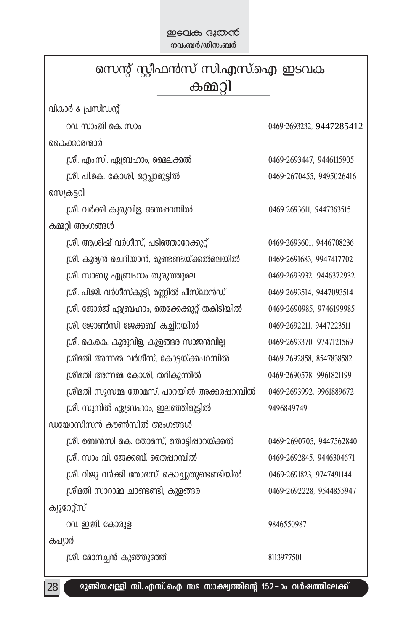| സെന്റ് സ്റ്റീഫൻസ് സി.എസ്.ഐ ഇടവക              |                          |  |
|----------------------------------------------|--------------------------|--|
| കമ്മറി                                       |                          |  |
| വികാർ & പ്രസിഡന്റ്                           |                          |  |
| റവ. സാംജി കെ. സാം                            | 0469-2693232, 9447285412 |  |
| കൈക്കാരന്മാർ                                 |                          |  |
| ശ്രീ. എം.സി. ഏബ്രഹാം, മൈലക്കൽ                | 0469-2693447, 9446115905 |  |
| ശ്രീ. പി.കെ. കോശി, ഒറ്റപ്പാമൂട്ടിൽ           | 0469-2670455, 9495026416 |  |
| സെക്രട്ടറി                                   |                          |  |
| ശ്രീ. വർക്കി കുരുവിള, തൈഷറമ്പിൽ              | 0469-2693611, 9447363515 |  |
| കമ്മറ്റി അംഗങ്ങൾ                             |                          |  |
| ശ്രീ. ആശിഷ് വർഗീസ്, പടിഞ്ഞാറേക്കുറ്റ്        | 0469-2693601, 9446708236 |  |
| ശ്രീ. കുര്യൻ ചെറിയാൻ, മുണ്ടണ്ടയ്ക്കൽമലയിൽ    | 0469-2691683, 9947417702 |  |
| ശ്രീ. സാബു ഏബ്രഹാം തുരുത്തുമല                | 0469-2693932, 9446372932 |  |
| ശ്രീ. പി.ജി. വർഗീസ്കുട്ടി, മണ്ണിൽ പീസ്ലാൻഡ്  | 0469-2693514, 9447093514 |  |
| ശ്രീ. ജോർജ് ഏബ്രഹാം, തെക്കേക്കുറ്റ് തകിടിയിൽ | 0469-2690985, 9746199985 |  |
| ശ്രീ. ജോൺസി ജേക്കബ്, കച്ചിറയിൽ               | 0469-2692211, 9447223511 |  |
| ശ്രീ. കെ.കെ. കുരുവിള, കുളങ്ങര സാജൻവില്ല      | 0469-2693370, 9747121569 |  |
| ശ്രീമതി അന്നമ്മ വർഗീസ്, കോട്ടയ്ക്കപറമ്പിൽ    | 0469-2692858, 8547838582 |  |
| ശ്രീമതി അന്നമ്മ കോശി, തറികുന്നിൽ             | 0469-2690578, 9961821199 |  |
| ശ്രീമതി സൂസമ്മ തോമസ്, പാറയിൽ അക്കരപ്പറമ്പിൽ  | 0469-2693992, 9961889672 |  |
| ശ്രീ. സുനിൽ ഏബ്രഹാം, ഇലഞ്ഞിമൂട്ടിൽ           | 9496849749               |  |
| ഡയോസിസൻ കൗൺസിൽ അംഗങ്ങൾ                       |                          |  |
| ശ്രീ. ബെൻസി കെ. തോമസ്, തൊട്ടിഷാറയ്ക്കൽ       | 0469-2690705, 9447562840 |  |
| ശ്രീ. സാം വി. ജേക്കബ്, തൈഷറമ്പിൽ             | 0469-2692845, 9446304671 |  |
| ശ്രീ. റിജു വർക്കി തോമസ്, കൊച്ചുതുണ്ടണ്ടിയിൽ  | 0469-2691823, 9747491144 |  |
| ശ്രീമതി സാറാമ്മ ചാണ്ടണ്ടി, കുളങ്ങര           | 0469-2692228, 9544855947 |  |
| ക്യൂറേറ്റ്സ്                                 |                          |  |
| റവ. ഇ.ജി. കോരുള                              | 9846550987               |  |
| കപ്യാർ                                       |                          |  |
| ശ്രീ. മോനച്ചൻ കുഞ്ഞൂഞ്ഞ്                     | 8113977501               |  |
|                                              |                          |  |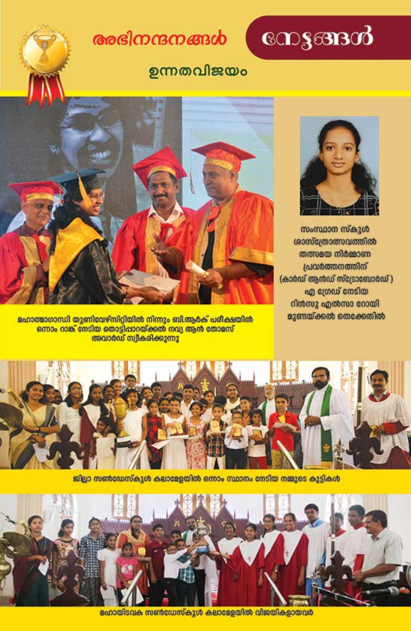# രേഭിനന്ദനങ്ങൾ

# നേട്ടങ്ങൾ

### ഉന്നതവിജയം





സംസ്ഥാന സ്കൂൾ ശാസ്ത്രോത്സവത്തിൽ തത്സഭയ നിർജാണ പ്രവർത്തനത്തിന് (കാർഡ് ആൻഡ് സ്ട്രോബോർഡ്) എ ഗ്രേഡ് നേടിയ റിൻസു എൽസാ റോയി ളുണ്ടയ്ക്കൽ തെക്കേതിൽ

<mark>ഹോത്മാഗാന്ധി യുണിവേഴ്സിറ്റിയിൽ നിന്നും ബി.ആർക് പരീക്ഷയിൽ</mark> ഒന്നാം റാങ്ക് നേടിയ തൊട്ടിപ്പാറയ്ക്കൽ നവ്യ ആൻ തോമസ് അവാർഡ് സ്വീകരിക്കുന്നു



ജില്ലാ സൺഡേസ്കൂൾ കലാളേയിൽ ഒന്നാം സ്ഥാനം നേടിയ നജുടെ കുട്ടികൾ



ഭഹായിടവക സൺഡേസ്കുൾ കലാളേയിൽ വിജയികളായവർ